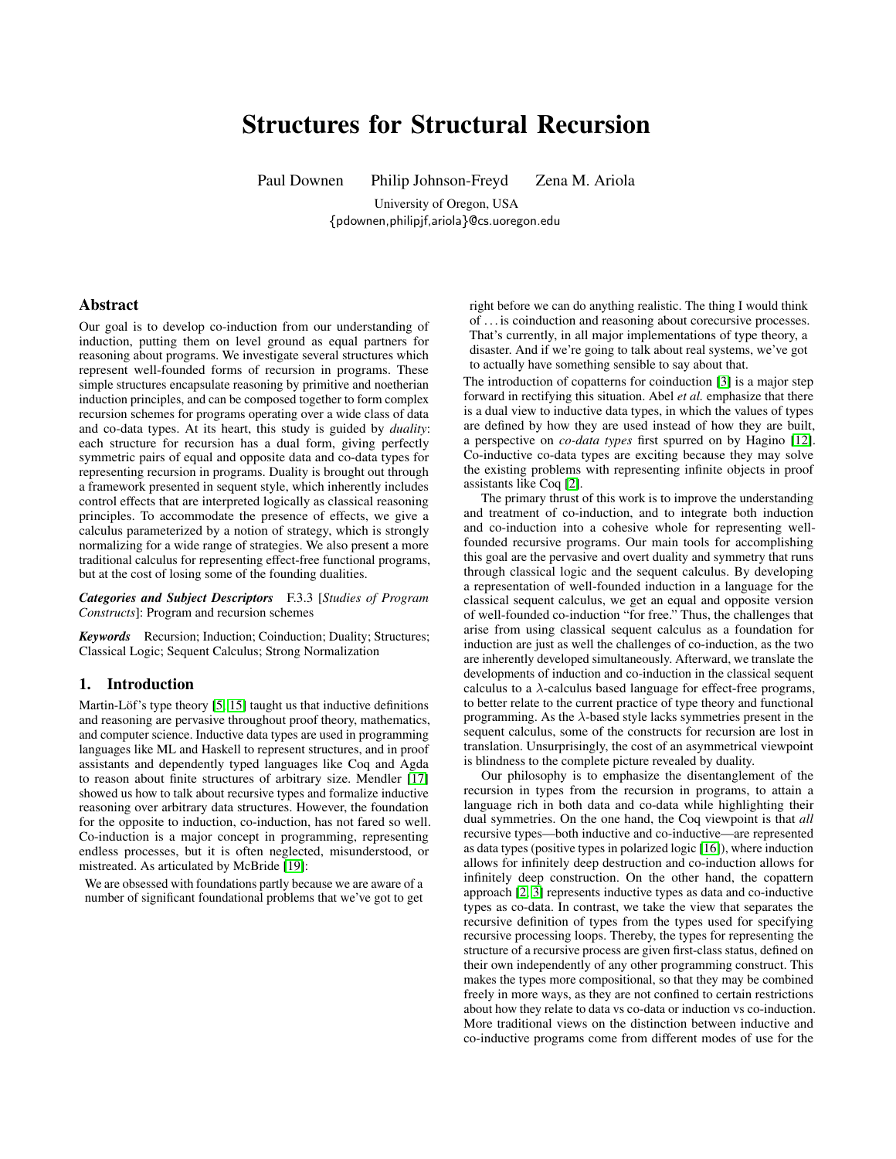# Structures for Structural Recursion

Paul Downen Philip Johnson-Freyd Zena M. Ariola

University of Oregon, USA {pdownen,philipjf,ariola}@cs.uoregon.edu

# Abstract

Our goal is to develop co-induction from our understanding of induction, putting them on level ground as equal partners for reasoning about programs. We investigate several structures which represent well-founded forms of recursion in programs. These simple structures encapsulate reasoning by primitive and noetherian induction principles, and can be composed together to form complex recursion schemes for programs operating over a wide class of data and co-data types. At its heart, this study is guided by *duality*: each structure for recursion has a dual form, giving perfectly symmetric pairs of equal and opposite data and co-data types for representing recursion in programs. Duality is brought out through a framework presented in sequent style, which inherently includes control effects that are interpreted logically as classical reasoning principles. To accommodate the presence of effects, we give a calculus parameterized by a notion of strategy, which is strongly normalizing for a wide range of strategies. We also present a more traditional calculus for representing effect-free functional programs, but at the cost of losing some of the founding dualities.

*Categories and Subject Descriptors* F.3.3 [*Studies of Program Constructs*]: Program and recursion schemes

*Keywords* Recursion; Induction; Coinduction; Duality; Structures; Classical Logic; Sequent Calculus; Strong Normalization

## 1. Introduction

Martin-Löf's type theory [\[5,](#page-12-0) [15\]](#page-12-1) taught us that inductive definitions and reasoning are pervasive throughout proof theory, mathematics, and computer science. Inductive data types are used in programming languages like ML and Haskell to represent structures, and in proof assistants and dependently typed languages like Coq and Agda to reason about finite structures of arbitrary size. Mendler [\[17\]](#page-12-2) showed us how to talk about recursive types and formalize inductive reasoning over arbitrary data structures. However, the foundation for the opposite to induction, co-induction, has not fared so well. Co-induction is a major concept in programming, representing endless processes, but it is often neglected, misunderstood, or mistreated. As articulated by McBride [\[19\]](#page-12-3):

We are obsessed with foundations partly because we are aware of a number of significant foundational problems that we've got to get

right before we can do anything realistic. The thing I would think of . . . is coinduction and reasoning about corecursive processes. That's currently, in all major implementations of type theory, a disaster. And if we're going to talk about real systems, we've got to actually have something sensible to say about that.

The introduction of copatterns for coinduction [\[3\]](#page-12-4) is a major step forward in rectifying this situation. Abel *et al.* emphasize that there is a dual view to inductive data types, in which the values of types are defined by how they are used instead of how they are built, a perspective on *co-data types* first spurred on by Hagino [\[12\]](#page-12-5). Co-inductive co-data types are exciting because they may solve the existing problems with representing infinite objects in proof assistants like Coq [\[2\]](#page-12-6).

The primary thrust of this work is to improve the understanding and treatment of co-induction, and to integrate both induction and co-induction into a cohesive whole for representing wellfounded recursive programs. Our main tools for accomplishing this goal are the pervasive and overt duality and symmetry that runs through classical logic and the sequent calculus. By developing a representation of well-founded induction in a language for the classical sequent calculus, we get an equal and opposite version of well-founded co-induction "for free." Thus, the challenges that arise from using classical sequent calculus as a foundation for induction are just as well the challenges of co-induction, as the two are inherently developed simultaneously. Afterward, we translate the developments of induction and co-induction in the classical sequent calculus to a  $\lambda$ -calculus based language for effect-free programs, to better relate to the current practice of type theory and functional programming. As the  $\lambda$ -based style lacks symmetries present in the sequent calculus, some of the constructs for recursion are lost in translation. Unsurprisingly, the cost of an asymmetrical viewpoint is blindness to the complete picture revealed by duality.

Our philosophy is to emphasize the disentanglement of the recursion in types from the recursion in programs, to attain a language rich in both data and co-data while highlighting their dual symmetries. On the one hand, the Coq viewpoint is that *all* recursive types—both inductive and co-inductive—are represented as data types (positive types in polarized logic [\[16\]](#page-12-7)), where induction allows for infinitely deep destruction and co-induction allows for infinitely deep construction. On the other hand, the copattern approach [\[2,](#page-12-6) [3\]](#page-12-4) represents inductive types as data and co-inductive types as co-data. In contrast, we take the view that separates the recursive definition of types from the types used for specifying recursive processing loops. Thereby, the types for representing the structure of a recursive process are given first-class status, defined on their own independently of any other programming construct. This makes the types more compositional, so that they may be combined freely in more ways, as they are not confined to certain restrictions about how they relate to data vs co-data or induction vs co-induction. More traditional views on the distinction between inductive and co-inductive programs come from different modes of use for the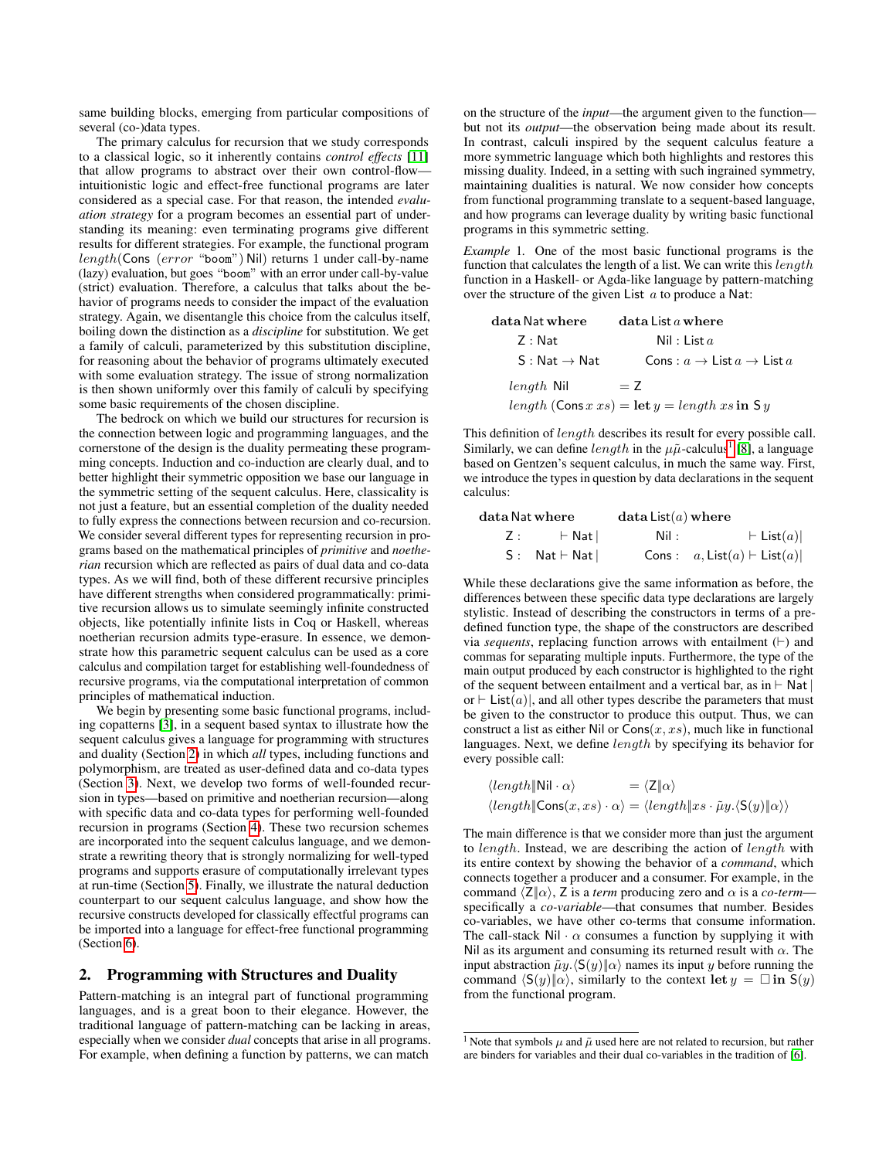same building blocks, emerging from particular compositions of several (co-)data types.

The primary calculus for recursion that we study corresponds to a classical logic, so it inherently contains *control effects* [\[11\]](#page-12-8) that allow programs to abstract over their own control-flow intuitionistic logic and effect-free functional programs are later considered as a special case. For that reason, the intended *evaluation strategy* for a program becomes an essential part of understanding its meaning: even terminating programs give different results for different strategies. For example, the functional program length(Cons (error "boom") Nil) returns 1 under call-by-name (lazy) evaluation, but goes "boom" with an error under call-by-value (strict) evaluation. Therefore, a calculus that talks about the behavior of programs needs to consider the impact of the evaluation strategy. Again, we disentangle this choice from the calculus itself, boiling down the distinction as a *discipline* for substitution. We get a family of calculi, parameterized by this substitution discipline, for reasoning about the behavior of programs ultimately executed with some evaluation strategy. The issue of strong normalization is then shown uniformly over this family of calculi by specifying some basic requirements of the chosen discipline.

The bedrock on which we build our structures for recursion is the connection between logic and programming languages, and the cornerstone of the design is the duality permeating these programming concepts. Induction and co-induction are clearly dual, and to better highlight their symmetric opposition we base our language in the symmetric setting of the sequent calculus. Here, classicality is not just a feature, but an essential completion of the duality needed to fully express the connections between recursion and co-recursion. We consider several different types for representing recursion in programs based on the mathematical principles of *primitive* and *noetherian* recursion which are reflected as pairs of dual data and co-data types. As we will find, both of these different recursive principles have different strengths when considered programmatically: primitive recursion allows us to simulate seemingly infinite constructed objects, like potentially infinite lists in Coq or Haskell, whereas noetherian recursion admits type-erasure. In essence, we demonstrate how this parametric sequent calculus can be used as a core calculus and compilation target for establishing well-foundedness of recursive programs, via the computational interpretation of common principles of mathematical induction.

We begin by presenting some basic functional programs, including copatterns [\[3\]](#page-12-4), in a sequent based syntax to illustrate how the sequent calculus gives a language for programming with structures and duality (Section [2\)](#page-1-0) in which *all* types, including functions and polymorphism, are treated as user-defined data and co-data types (Section [3\)](#page-2-0). Next, we develop two forms of well-founded recursion in types—based on primitive and noetherian recursion—along with specific data and co-data types for performing well-founded recursion in programs (Section [4\)](#page-4-0). These two recursion schemes are incorporated into the sequent calculus language, and we demonstrate a rewriting theory that is strongly normalizing for well-typed programs and supports erasure of computationally irrelevant types at run-time (Section [5\)](#page-7-0). Finally, we illustrate the natural deduction counterpart to our sequent calculus language, and show how the recursive constructs developed for classically effectful programs can be imported into a language for effect-free functional programming (Section [6\)](#page-10-0).

## <span id="page-1-0"></span>2. Programming with Structures and Duality

Pattern-matching is an integral part of functional programming languages, and is a great boon to their elegance. However, the traditional language of pattern-matching can be lacking in areas, especially when we consider *dual* concepts that arise in all programs. For example, when defining a function by patterns, we can match

on the structure of the *input*—the argument given to the function but not its *output*—the observation being made about its result. In contrast, calculi inspired by the sequent calculus feature a more symmetric language which both highlights and restores this missing duality. Indeed, in a setting with such ingrained symmetry, maintaining dualities is natural. We now consider how concepts from functional programming translate to a sequent-based language, and how programs can leverage duality by writing basic functional programs in this symmetric setting.

<span id="page-1-2"></span>*Example* 1*.* One of the most basic functional programs is the function that calculates the length of a list. We can write this length function in a Haskell- or Agda-like language by pattern-matching over the structure of the given List  $a$  to produce a Nat:

| data Nat where           | $data$ List $a$ where                                |
|--------------------------|------------------------------------------------------|
| Z : Nat                  | Nil: List $a$                                        |
| $S: Nat \rightarrow Nat$ | Cons : $a \rightarrow$ List $a \rightarrow$ List $a$ |
| <i>length</i> Nil        | $= 7$                                                |
|                          | length (Cons x xs) = let $y = length xs$ in Sy       |

This definition of length describes its result for every possible call. Similarly, we can define  $length$  in the  $\mu\tilde{\mu}$ -calculus<sup>[1](#page-1-1)</sup> [\[8\]](#page-12-9), a language based on Gentzen's sequent calculus, in much the same way. First, we introduce the types in question by data declarations in the sequent calculus:

| data Nat where                | data List(a) where |                                   |
|-------------------------------|--------------------|-----------------------------------|
| $Z:$ $\vdash$ Nat             | Nil :              | $\vdash$ List $(a)$               |
| $S:$ Nat $\vdash$ Nat $\vert$ |                    | Cons: $a, List(a) \vdash List(a)$ |

While these declarations give the same information as before, the differences between these specific data type declarations are largely stylistic. Instead of describing the constructors in terms of a predefined function type, the shape of the constructors are described via *sequents*, replacing function arrows with entailment  $(+)$  and commas for separating multiple inputs. Furthermore, the type of the main output produced by each constructor is highlighted to the right of the sequent between entailment and a vertical bar, as in  $\vdash$  Nat | or  $\vdash$  List(a)|, and all other types describe the parameters that must be given to the constructor to produce this output. Thus, we can construct a list as either Nil or  $\text{Cons}(x, xs)$ , much like in functional languages. Next, we define *length* by specifying its behavior for every possible call:

$$
\langle length \|\text{Nil} \cdot \alpha \rangle = \langle \text{Z} \|\alpha \rangle
$$
  

$$
\langle length \|\text{Cons}(x, xs) \cdot \alpha \rangle = \langle length \|\text{xs} \cdot \tilde{\mu}y. \langle \text{S}(y) \|\alpha \rangle \rangle
$$

The main difference is that we consider more than just the argument to length. Instead, we are describing the action of length with its entire context by showing the behavior of a *command*, which connects together a producer and a consumer. For example, in the command  $\langle \mathsf{Z} | \alpha \rangle$ , Z is a *term* producing zero and  $\alpha$  is a *co-term* specifically a *co-variable*—that consumes that number. Besides co-variables, we have other co-terms that consume information. The call-stack Nil  $\cdot \alpha$  consumes a function by supplying it with Nil as its argument and consuming its returned result with  $\alpha$ . The input abstraction  $\tilde{\mu}y. \langle S(y)|\alpha\rangle$  names its input y before running the command  $\langle S(y)|\alpha\rangle$ , similarly to the context let  $y = \Box$  in  $S(y)$ from the functional program.

<span id="page-1-1"></span><sup>&</sup>lt;sup>1</sup> Note that symbols  $\mu$  and  $\tilde{\mu}$  used here are not related to recursion, but rather are binders for variables and their dual co-variables in the tradition of [\[6\]](#page-12-10).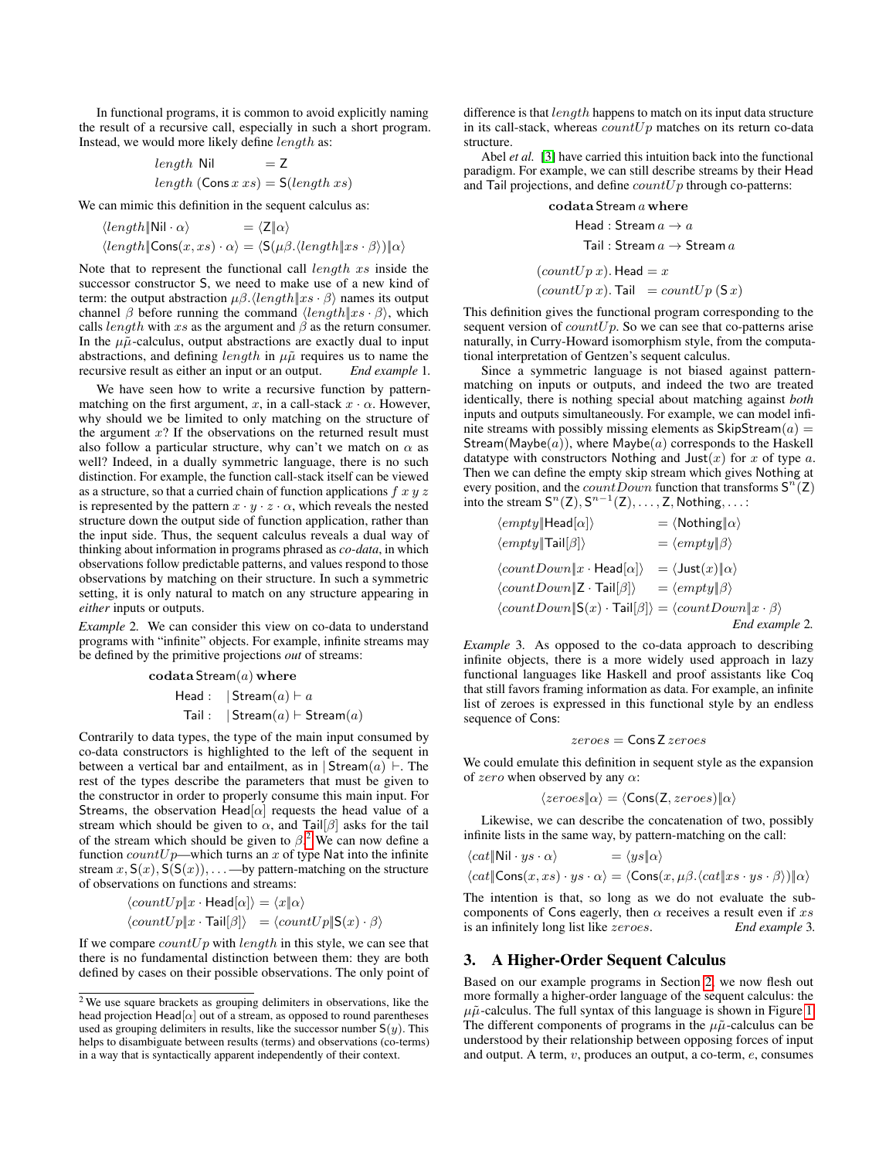In functional programs, it is common to avoid explicitly naming the result of a recursive call, especially in such a short program. Instead, we would more likely define length as:

length Nil = Z  
length (Cons x 
$$
xs
$$
) = S(*length xs*)

We can mimic this definition in the sequent calculus as:

$$
\langle length \|\text{Nil} \cdot \alpha \rangle = \langle \text{Z} \|\alpha \rangle
$$
  

$$
\langle length \|\text{Cons}(x, xs) \cdot \alpha \rangle = \langle \text{S}(\mu \beta. \langle length \| xs \cdot \beta \rangle) \| \alpha \rangle
$$

Note that to represent the functional call length xs inside the successor constructor S, we need to make use of a new kind of term: the output abstraction  $\mu\beta$ .  $\langle length|x_s \cdot \beta \rangle$  names its output channel β before running the command  $\langle length|x s \cdot \beta \rangle$ , which calls *length* with xs as the argument and  $\beta$  as the return consumer. In the  $\mu\tilde{\mu}$ -calculus, output abstractions are exactly dual to input abstractions, and defining *length* in  $\mu\tilde{\mu}$  requires us to name the recursive result as either an input or an output. *End example* 1*.*

We have seen how to write a recursive function by patternmatching on the first argument, x, in a call-stack  $x \cdot \alpha$ . However, why should we be limited to only matching on the structure of the argument  $x$ ? If the observations on the returned result must also follow a particular structure, why can't we match on  $\alpha$  as well? Indeed, in a dually symmetric language, there is no such distinction. For example, the function call-stack itself can be viewed as a structure, so that a curried chain of function applications  $f$  x  $y$  z is represented by the pattern  $x \cdot y \cdot z \cdot \alpha$ , which reveals the nested structure down the output side of function application, rather than the input side. Thus, the sequent calculus reveals a dual way of thinking about information in programs phrased as *co-data*, in which observations follow predictable patterns, and values respond to those observations by matching on their structure. In such a symmetric setting, it is only natural to match on any structure appearing in *either* inputs or outputs.

<span id="page-2-2"></span>*Example* 2*.* We can consider this view on co-data to understand programs with "infinite" objects. For example, infinite streams may be defined by the primitive projections *out* of streams:

$$
\operatorname{\mathbf{codata}\!} \operatorname{\mathsf{Stream}}\nolimits(a) \operatorname{\mathbf{where}}
$$

Head :  $|\text{Stream}(a) \vdash a$ Tail :  $|\text{Stream}(a) \vdash \text{Stream}(a)|$ 

Contrarily to data types, the type of the main input consumed by co-data constructors is highlighted to the left of the sequent in between a vertical bar and entailment, as in  $\vert$  Stream $(a) \vert$ . The rest of the types describe the parameters that must be given to the constructor in order to properly consume this main input. For Streams, the observation Head $[\alpha]$  requests the head value of a stream which should be given to  $\alpha$ , and Tail[ $\beta$ ] asks for the tail of the stream which should be given to  $\beta$ <sup>[2](#page-2-1)</sup>. We can now define a function  $countUp$ —which turns an x of type Nat into the infinite stream  $x, S(x), S(S(x)), \ldots$  —by pattern-matching on the structure of observations on functions and streams:

$$
\langle countUp \|x \cdot \text{Head}[\alpha] \rangle = \langle x \| \alpha \rangle
$$

$$
\langle countUp \|x \cdot \text{Tail}[\beta] \rangle = \langle countUp \| \text{S}(x) \cdot \beta \rangle
$$

If we compare  $countUp$  with length in this style, we can see that there is no fundamental distinction between them: they are both defined by cases on their possible observations. The only point of difference is that  $length$  happens to match on its input data structure in its call-stack, whereas  $countUp$  matches on its return co-data structure.

Abel *et al.* [\[3\]](#page-12-4) have carried this intuition back into the functional paradigm. For example, we can still describe streams by their Head and Tail projections, and define  $countUp$  through co-patterns:

$$
\begin{aligned}\n\text{codata Stream } a \text{ where} \\
\text{Head : Stream } a \rightarrow a \\
\text{Tail : Stream } a \rightarrow \text{Stream } a \\
(\text{countUp } x). \text{ Head} = x \\
(\text{countUp } x). \text{Tail } = \text{countUp } (\text{S } x)\n\end{aligned}
$$

This definition gives the functional program corresponding to the sequent version of  $countUp$ . So we can see that co-patterns arise naturally, in Curry-Howard isomorphism style, from the computational interpretation of Gentzen's sequent calculus.

Since a symmetric language is not biased against patternmatching on inputs or outputs, and indeed the two are treated identically, there is nothing special about matching against *both* inputs and outputs simultaneously. For example, we can model infinite streams with possibly missing elements as  $\text{SkipStream}(a) =$ Stream(Maybe( $a$ )), where Maybe( $a$ ) corresponds to the Haskell datatype with constructors Nothing and Just $(x)$  for x of type a. Then we can define the empty skip stream which gives Nothing at every position, and the *countDown* function that transforms  $S^{n}(Z)$ into the stream  $S^n(Z), S^{n-1}(Z), \ldots, Z$ , Nothing, ...:

$$
\langle empty \|\text{Head}[\alpha] \rangle = \langle \text{Nothing} \| \alpha \rangle
$$
  
\n
$$
\langle empty \|\text{Tail}[\beta] \rangle = \langle empty \|\beta \rangle
$$
  
\n
$$
\langle countDown \|\mathbf{z} \cdot \text{Head}[\alpha] \rangle = \langle \text{Just}(x) \|\alpha \rangle
$$
  
\n
$$
\langle countDown \|\mathbf{Z} \cdot \text{Tail}[\beta] \rangle = \langle empty \|\beta \rangle
$$
  
\n
$$
\langle countDown \|\mathbf{S}(x) \cdot \text{Tail}[\beta] \rangle = \langle countDown \|\mathbf{x} \cdot \beta \rangle
$$

*End example* 2*.*

<span id="page-2-3"></span>*Example* 3*.* As opposed to the co-data approach to describing infinite objects, there is a more widely used approach in lazy functional languages like Haskell and proof assistants like Coq that still favors framing information as data. For example, an infinite list of zeroes is expressed in this functional style by an endless sequence of Cons:

$$
\mathit{zeroes} = \mathsf{Cons}\, \mathsf{Z}\, \mathit{zeroes}
$$

We could emulate this definition in sequent style as the expansion of  $zero$  when observed by any  $\alpha$ :

$$
\langle zeroes|\alpha\rangle = \langle Cons(Z, zeroes)|\alpha\rangle
$$

Likewise, we can describe the concatenation of two, possibly infinite lists in the same way, by pattern-matching on the call:

$$
\langle cat \|\text{Nil} \cdot ys \cdot \alpha \rangle = \langle ys \|\alpha \rangle
$$
  

$$
\langle cat \|\text{Cons}(x, xs) \cdot ys \cdot \alpha \rangle = \langle \text{Cons}(x, \mu \beta. \langle cat \|\text{xs} \cdot ys \cdot \beta \rangle) \|\alpha \rangle
$$

The intention is that, so long as we do not evaluate the subcomponents of Cons eagerly, then  $\alpha$  receives a result even if  $xs$ is an infinitely long list like zeroes. *End example* 3*.*

#### <span id="page-2-0"></span>3. A Higher-Order Sequent Calculus

Based on our example programs in Section [2,](#page-1-0) we now flesh out more formally a higher-order language of the sequent calculus: the  $\mu\tilde{\mu}$ -calculus. The full syntax of this language is shown in Figure [1.](#page-3-0) The different components of programs in the  $\mu\tilde{\mu}$ -calculus can be understood by their relationship between opposing forces of input and output. A term,  $v$ , produces an output, a co-term,  $e$ , consumes

<span id="page-2-1"></span><sup>2</sup> We use square brackets as grouping delimiters in observations, like the head projection Head $[\alpha]$  out of a stream, as opposed to round parentheses used as grouping delimiters in results, like the successor number  $S(y)$ . This helps to disambiguate between results (terms) and observations (co-terms) in a way that is syntactically apparent independently of their context.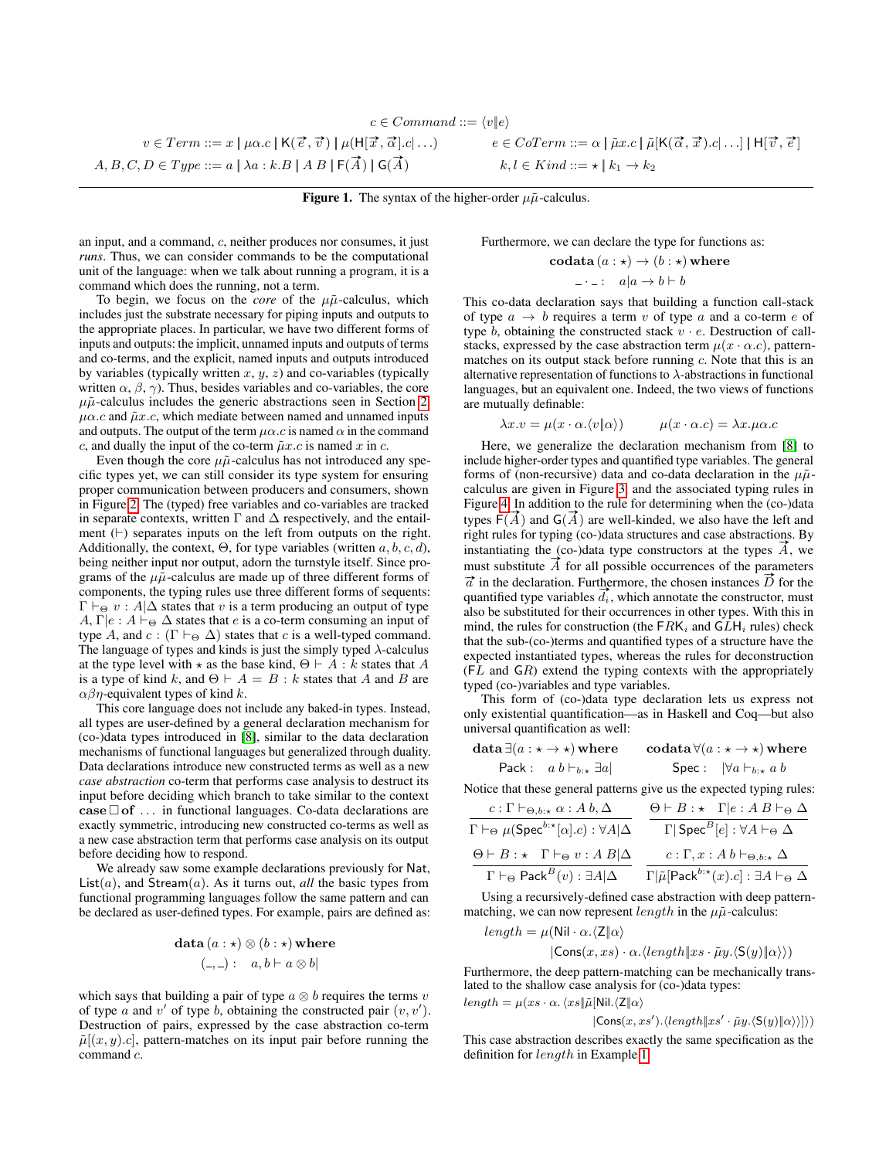$$
c \in Command ::= \langle v \| e \rangle
$$

 $v \in Term ::= x \mid \mu \alpha.c \mid \mathsf{K}(\vec{e}, \vec{v}) \mid \mu(\mathsf{H})$  $A, B, C, D \in Type ::= a \mid \lambda a : k.B \mid AB \mid F(\overrightarrow{A}) \mid G(\overrightarrow{A}))$ 

 $\vec{x}, \vec{\alpha} | . c | \ldots$   $e \in CoTerm ::= \alpha \mid \tilde{\mu} x.c \mid \tilde{\mu}[\mathsf{K}(\vec{\alpha}, \vec{x}). c | \ldots] \mid \mathsf{H}[\vec{v}, \vec{e}]$  $k, l \in Kind ::= \star \mid k_1 \rightarrow k_2$ 

<span id="page-3-0"></span>Figure 1. The syntax of the higher-order  $\mu \tilde{\mu}$ -calculus.

an input, and a command, c, neither produces nor consumes, it just *runs*. Thus, we can consider commands to be the computational unit of the language: when we talk about running a program, it is a command which does the running, not a term.

To begin, we focus on the *core* of the  $\mu\tilde{\mu}$ -calculus, which includes just the substrate necessary for piping inputs and outputs to the appropriate places. In particular, we have two different forms of inputs and outputs: the implicit, unnamed inputs and outputs of terms and co-terms, and the explicit, named inputs and outputs introduced by variables (typically written  $x, y, z$ ) and co-variables (typically written  $\alpha$ ,  $\beta$ ,  $\gamma$ ). Thus, besides variables and co-variables, the core  $\mu\tilde{\mu}$ -calculus includes the generic abstractions seen in Section [2,](#page-1-0)  $\mu\alpha$ .c and  $\tilde{\mu}x$ .c, which mediate between named and unnamed inputs and outputs. The output of the term  $\mu\alpha$ .c is named  $\alpha$  in the command c, and dually the input of the co-term  $\tilde{\mu}x.c$  is named x in c.

Even though the core  $\mu \tilde{\mu}$ -calculus has not introduced any specific types yet, we can still consider its type system for ensuring proper communication between producers and consumers, shown in Figure [2.](#page-4-1) The (typed) free variables and co-variables are tracked in separate contexts, written  $\Gamma$  and  $\Delta$  respectively, and the entailment  $( \vdash )$  separates inputs on the left from outputs on the right. Additionally, the context,  $\Theta$ , for type variables (written  $a, b, c, d$ ), being neither input nor output, adorn the turnstyle itself. Since programs of the  $\mu \tilde{\mu}$ -calculus are made up of three different forms of components, the typing rules use three different forms of sequents:  $\Gamma \vdash_{\Theta} v : A | \Delta$  states that v is a term producing an output of type  $A, \Gamma | e : A \vdash_{\Theta} \Delta$  states that e is a co-term consuming an input of type A, and  $c : (\Gamma \vdash_{\Theta} \Delta)$  states that c is a well-typed command. The language of types and kinds is just the simply typed  $\lambda$ -calculus at the type level with  $\star$  as the base kind,  $\Theta \vdash A : k$  states that A is a type of kind k, and  $\Theta \vdash A = B : k$  states that A and B are  $\alpha\beta\eta$ -equivalent types of kind k.

This core language does not include any baked-in types. Instead, all types are user-defined by a general declaration mechanism for (co-)data types introduced in [\[8\]](#page-12-9), similar to the data declaration mechanisms of functional languages but generalized through duality. Data declarations introduce new constructed terms as well as a new *case abstraction* co-term that performs case analysis to destruct its input before deciding which branch to take similar to the context  $\mathbf{case} \Box \mathbf{of} \dots$  in functional languages. Co-data declarations are exactly symmetric, introducing new constructed co-terms as well as a new case abstraction term that performs case analysis on its output before deciding how to respond.

We already saw some example declarations previously for Nat,  $List(a)$ , and  $Stream(a)$ . As it turns out, *all* the basic types from functional programming languages follow the same pattern and can be declared as user-defined types. For example, pairs are defined as:

$$
\textbf{data}\,(a:\star)\otimes(b:\star)\,\textbf{where}\\ (\_,\_) :\quad a,b \vdash a\otimes b |
$$

which says that building a pair of type  $a \otimes b$  requires the terms v of type a and  $v'$  of type b, obtaining the constructed pair  $(v, v')$ . Destruction of pairs, expressed by the case abstraction co-term  $\tilde{\mu}[(x, y).c]$ , pattern-matches on its input pair before running the command c.

Furthermore, we can declare the type for functions as:

$$
\text{codata}\,(a:\star)\to(b:\star)\,\text{where}\\ \qquad \qquad -\cdot\,\text{-}: \quad a|a\to b\vdash b
$$

This co-data declaration says that building a function call-stack of type  $a \rightarrow b$  requires a term v of type a and a co-term e of type b, obtaining the constructed stack  $v \cdot e$ . Destruction of callstacks, expressed by the case abstraction term  $\mu(x \cdot \alpha.c)$ , patternmatches on its output stack before running  $c$ . Note that this is an alternative representation of functions to  $\lambda$ -abstractions in functional languages, but an equivalent one. Indeed, the two views of functions are mutually definable:

$$
\lambda x.v = \mu(x \cdot \alpha. \langle v | \alpha \rangle) \qquad \mu(x \cdot \alpha.c) = \lambda x. \mu \alpha.c
$$

Here, we generalize the declaration mechanism from [\[8\]](#page-12-9) to include higher-order types and quantified type variables. The general forms of (non-recursive) data and co-data declaration in the  $\mu\tilde{\mu}$ calculus are given in Figure [3,](#page-4-2) and the associated typing rules in Figure [4.](#page-4-3) In addition to the rule for determining when the (co-)data Figure 4. In addition to the rule for determining when the (co-)data<br>types  $F(\vec{A})$  and  $G(\vec{A})$  are well-kinded, we also have the left and right rules for typing (co-)data structures and case abstractions. By instantiating the (co-)data type constructors at the types  $\vec{A}$ , we must substitute  $\vec{A}$  for all possible occurrences of the parameters  $\vec{a}$  in the declaration. Furthermore, the chosen instances  $\vec{D}$  for the quantified type variables  $\overline{d_i}$ , which annotate the constructor, must also be substituted for their occurrences in other types. With this in mind, the rules for construction (the  $FRK_i$  and  $GLH_i$  rules) check that the sub-(co-)terms and quantified types of a structure have the expected instantiated types, whereas the rules for deconstruction  $(FL \nand GR)$  extend the typing contexts with the appropriately typed (co-)variables and type variables.

This form of (co-)data type declaration lets us express not only existential quantification—as in Haskell and Coq—but also universal quantification as well:

| $\texttt{data} \, \exists (a: \star \to \star) \, \textbf{where}$ | codata $\forall (a : \star \rightarrow \star)$ where |
|-------------------------------------------------------------------|------------------------------------------------------|
| Pack: $a b \vdash_{b : \star} \exists a$                          | Spec: $\forall a \vdash_{b : \star} a b$             |

Notice that these general patterns give us the expected typing rules:

| $c: \Gamma \vdash_{\Theta, b: \star} \alpha: A b, \Delta$                               | $\Theta \vdash B : \star \Gamma   e : A B \vdash_{\Theta} \Delta$                          |
|-----------------------------------------------------------------------------------------|--------------------------------------------------------------------------------------------|
| $\Gamma \vdash_{\Theta} \mu(\mathsf{Spec}^{b:\star}[\alpha].c): \forall A \vert \Delta$ | $\Gamma$   Spec $^B[e]$ : $\forall A \vdash_{\Theta} \Delta$                               |
| $\Theta \vdash B : \star \Gamma \vdash_{\Theta} v : A B   \Delta$                       | $c:\Gamma,x:A\,b\vdash_{\Theta,b:\star}\Delta$                                             |
| $\Gamma \vdash_{\Theta} \mathsf{Pack}^B(v) : \exists A   \Delta$                        | $\Gamma   \tilde{\mu}$ [Pack <sup>b:*</sup> $(x).c$ ] : $\exists A \vdash_{\Theta} \Delta$ |

Using a recursively-defined case abstraction with deep patternmatching, we can now represent *length* in the  $\mu\tilde{\mu}$ -calculus:

$$
\begin{aligned} length = \mu(\text{Nil} \cdot \alpha.\langle \mathsf{Z} \Vert \alpha \rangle \\ |\mathsf{Cons}(x, xs) \cdot \alpha.\langle length \Vert xs \cdot \tilde{\mu}y. \langle \mathsf{S}(y) \Vert \alpha \rangle \rangle) \end{aligned}
$$

Furthermore, the deep pattern-matching can be mechanically translated to the shallow case analysis for (co-)data types:  $length = \mu(xs \cdot \alpha. \langle xs||\tilde{\mu}[\text{Nil.}\langle \mathsf{Z}||\alpha \rangle$ 

$$
|\mathsf{Cons}(x, xs') \cdot \langle length \| xs' \cdot \tilde{\mu} y \cdot \langle \mathsf{S}(y) \| \alpha \rangle \rangle | \rangle)
$$

This case abstraction describes exactly the same specification as the definition for length in Example [1.](#page-1-2)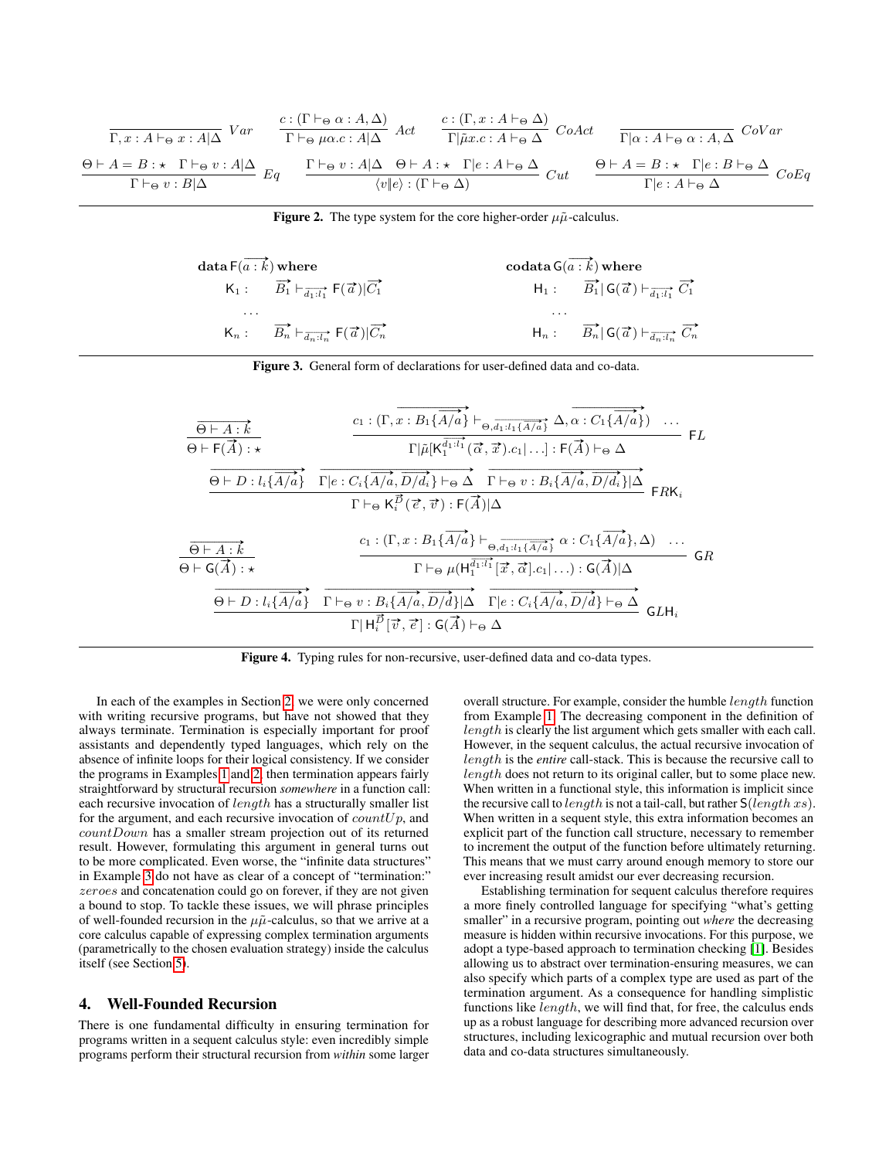$$
\frac{c: (\Gamma \vdash_{\Theta} \alpha : A \wedge \Delta)}{\Gamma, x: A \vdash_{\Theta} x: A | \Delta} \text{ Var} \quad \frac{c: (\Gamma \vdash_{\Theta} \alpha : A, \Delta)}{\Gamma \vdash_{\Theta} \mu \alpha. c: A | \Delta} \text{ Act} \quad \frac{c: (\Gamma, x: A \vdash_{\Theta} \Delta)}{\Gamma | \tilde{\mu} x. c: A \vdash_{\Theta} \Delta} \text{ CoAct} \quad \frac{\Gamma |_{\alpha}: A \vdash_{\Theta} \alpha : A, \Delta}{\Gamma | \alpha: A \vdash_{\Theta} \alpha : A, \Delta} \text{ Covar}
$$
\n
$$
\frac{\Theta \vdash A = B: \star \Gamma \vdash_{\Theta} v: A | \Delta}{\Gamma \vdash_{\Theta} v: B | \Delta} \text{ Eq} \quad \frac{\Gamma \vdash_{\Theta} v: A | \Delta}{\langle v | e \rangle : (\Gamma \vdash_{\Theta} \Delta)} \text{ Cut} \quad \frac{\Theta \vdash A = B: \star \Gamma | e: B \vdash_{\Theta} \Delta}{\Gamma | e: A \vdash_{\Theta} \Delta} \text{ CoEq}
$$

<span id="page-4-1"></span>Figure 2. The type system for the core higher-order  $\mu\tilde{\mu}$ -calculus.

data 
$$
F(\overline{a:k})
$$
 where  
\n $K_1: \overrightarrow{B_1} \vdash_{\overrightarrow{d_1:l_1}} F(\overrightarrow{a})|\overrightarrow{C_1}$   
\n $\vdots$ \n $\overrightarrow{B_n} \vdash_{\overrightarrow{d_n:l_n}} F(\overrightarrow{a})|\overrightarrow{C_n}$   
\n $\vdots$ \n $\overrightarrow{B_n} \vdash_{\overrightarrow{d_n:l_n}} F(\overrightarrow{a})|\overrightarrow{C_n}$   
\n $H_n: \overrightarrow{B_n} | G(\overrightarrow{a}) \vdash_{\overrightarrow{d_n:l_n}} \overrightarrow{C_n}$ 

<span id="page-4-2"></span>Figure 3. General form of declarations for user-defined data and co-data.

$$
\frac{\overrightarrow{\Theta \vdash A : k}}{\Theta \vdash F(\overrightarrow{A}) : \star} \qquad \frac{c_1 : (\Gamma, \overrightarrow{x : B_1\{\overrightarrow{A/a}\} \vdash_{\Theta, \overrightarrow{d_1:l_1\{\overrightarrow{A/a}\}}} \Delta, \overrightarrow{\alpha : C_1\{\overrightarrow{A/a}\})} \dots}{\Gamma | \tilde{\mu} [K_1^{\overrightarrow{d_1:l_1}}(\overrightarrow{\alpha}, \overrightarrow{x}) . c_1 | \dots ] : F(\overrightarrow{A}) \vdash_{\Theta} \Delta} FL
$$
\n
$$
\frac{\overrightarrow{\Theta \vdash D : l_i\{\overrightarrow{A/a}\} \Gamma | e : C_i\{\overrightarrow{A/a}, \overrightarrow{D/d_i}\} \vdash_{\Theta} \Delta \Gamma \vdash_{\Theta} v : B_i\{\overrightarrow{A/a}, \overrightarrow{D/d_i}\} | \Delta}}{\Gamma \vdash_{\Theta} K_i^{\overrightarrow{D}}(\overrightarrow{e}, \overrightarrow{v}) : F(\overrightarrow{A}) | \Delta} FRK_i
$$
\n
$$
\frac{c_1 : (\Gamma, x : B_1\{\overrightarrow{A/a}\} \vdash_{\Theta, \overrightarrow{d_1:l_1\{\overrightarrow{A/a}\}}} \alpha : C_1\{\overrightarrow{A/a}\}, \Delta) \dots}{\Gamma \vdash_{\Theta} \mu (H_1^{\overrightarrow{d_1:l_1}}[\overrightarrow{x}, \overrightarrow{\alpha}] . c_1 | \dots ) : G(\overrightarrow{A}) | \Delta} GR
$$
\n
$$
\frac{\overrightarrow{\Theta \vdash D : l_i\{\overrightarrow{A/a}\} \Gamma \vdash_{\Theta} v : B_i\{\overrightarrow{A/a}, \overrightarrow{D/d}\} | \Delta \Gamma | e : C_i\{\overrightarrow{A/a}, \overrightarrow{D/d}\} \vdash_{\Theta} \Delta}}{\Gamma | H_i^{\overrightarrow{D}}[\overrightarrow{v}, \overrightarrow{e}] : G(\overrightarrow{A}) \vdash_{\Theta} \Delta} GLH_i
$$

<span id="page-4-3"></span>Figure 4. Typing rules for non-recursive, user-defined data and co-data types.

In each of the examples in Section [2,](#page-1-0) we were only concerned with writing recursive programs, but have not showed that they always terminate. Termination is especially important for proof assistants and dependently typed languages, which rely on the absence of infinite loops for their logical consistency. If we consider the programs in Examples [1](#page-1-2) and [2,](#page-2-2) then termination appears fairly straightforward by structural recursion *somewhere* in a function call: each recursive invocation of length has a structurally smaller list for the argument, and each recursive invocation of  $countUp$ , and countDown has a smaller stream projection out of its returned result. However, formulating this argument in general turns out to be more complicated. Even worse, the "infinite data structures" in Example [3](#page-2-3) do not have as clear of a concept of "termination:" zeroes and concatenation could go on forever, if they are not given a bound to stop. To tackle these issues, we will phrase principles of well-founded recursion in the  $\mu\tilde{\mu}$ -calculus, so that we arrive at a core calculus capable of expressing complex termination arguments (parametrically to the chosen evaluation strategy) inside the calculus itself (see Section [5\)](#page-7-0).

# <span id="page-4-0"></span>4. Well-Founded Recursion

There is one fundamental difficulty in ensuring termination for programs written in a sequent calculus style: even incredibly simple programs perform their structural recursion from *within* some larger overall structure. For example, consider the humble length function from Example [1.](#page-1-2) The decreasing component in the definition of length is clearly the list argument which gets smaller with each call. However, in the sequent calculus, the actual recursive invocation of length is the *entire* call-stack. This is because the recursive call to length does not return to its original caller, but to some place new. When written in a functional style, this information is implicit since the recursive call to *length* is not a tail-call, but rather  $S(length xs)$ . When written in a sequent style, this extra information becomes an explicit part of the function call structure, necessary to remember to increment the output of the function before ultimately returning. This means that we must carry around enough memory to store our ever increasing result amidst our ever decreasing recursion.

Establishing termination for sequent calculus therefore requires a more finely controlled language for specifying "what's getting smaller" in a recursive program, pointing out *where* the decreasing measure is hidden within recursive invocations. For this purpose, we adopt a type-based approach to termination checking [\[1\]](#page-12-11). Besides allowing us to abstract over termination-ensuring measures, we can also specify which parts of a complex type are used as part of the termination argument. As a consequence for handling simplistic functions like length, we will find that, for free, the calculus ends up as a robust language for describing more advanced recursion over structures, including lexicographic and mutual recursion over both data and co-data structures simultaneously.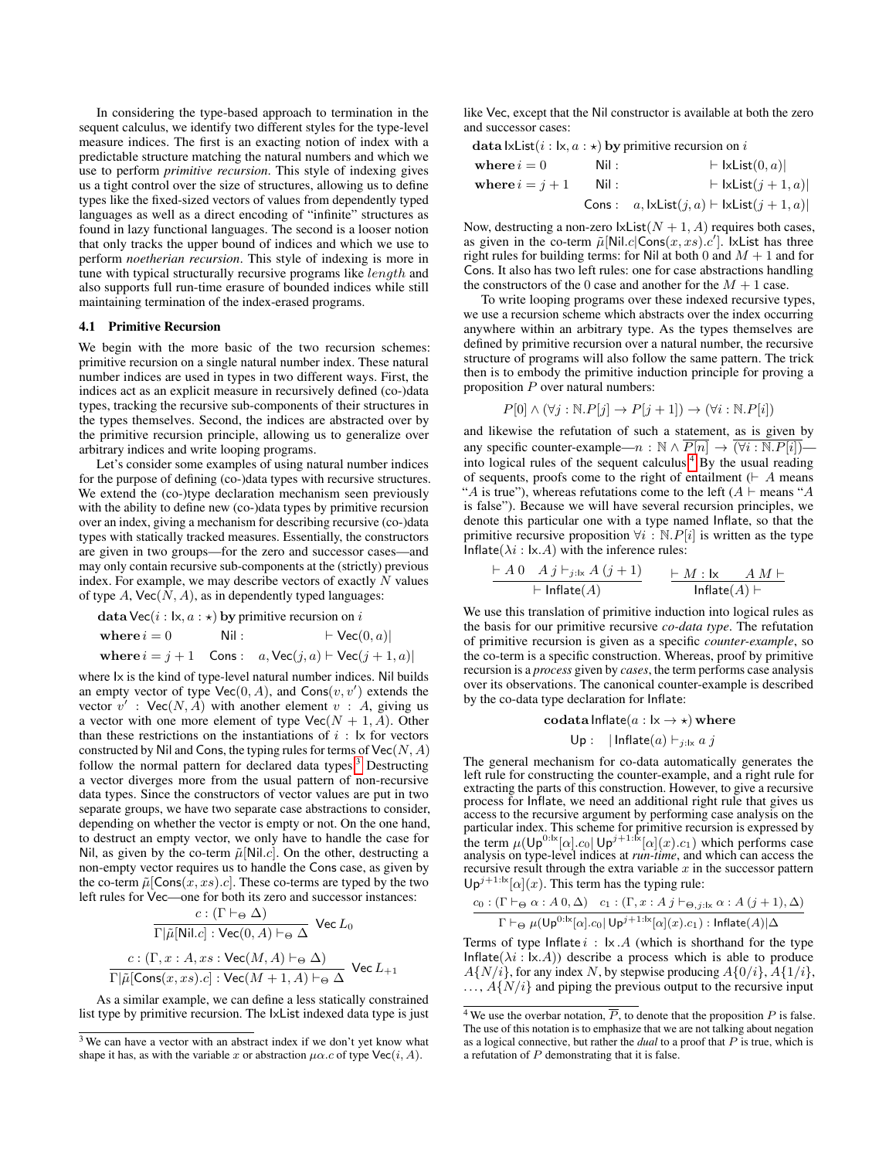In considering the type-based approach to termination in the sequent calculus, we identify two different styles for the type-level measure indices. The first is an exacting notion of index with a predictable structure matching the natural numbers and which we use to perform *primitive recursion*. This style of indexing gives us a tight control over the size of structures, allowing us to define types like the fixed-sized vectors of values from dependently typed languages as well as a direct encoding of "infinite" structures as found in lazy functional languages. The second is a looser notion that only tracks the upper bound of indices and which we use to perform *noetherian recursion*. This style of indexing is more in tune with typical structurally recursive programs like length and also supports full run-time erasure of bounded indices while still maintaining termination of the index-erased programs.

#### 4.1 Primitive Recursion

We begin with the more basic of the two recursion schemes: primitive recursion on a single natural number index. These natural number indices are used in types in two different ways. First, the indices act as an explicit measure in recursively defined (co-)data types, tracking the recursive sub-components of their structures in the types themselves. Second, the indices are abstracted over by the primitive recursion principle, allowing us to generalize over arbitrary indices and write looping programs.

Let's consider some examples of using natural number indices for the purpose of defining (co-)data types with recursive structures. We extend the (co-)type declaration mechanism seen previously with the ability to define new (co-)data types by primitive recursion over an index, giving a mechanism for describing recursive (co-)data types with statically tracked measures. Essentially, the constructors are given in two groups—for the zero and successor cases—and may only contain recursive sub-components at the (strictly) previous index. For example, we may describe vectors of exactly  $N$  values of type  $A$ ,  $Vec(N, A)$ , as in dependently typed languages:

data Vec(i :  $\vert x, a : \star \rangle$  by primitive recursion on i where  $i = 0$  Nil :  $\qquad \qquad \vdash \text{Vec}(0, a)|$ where  $i = j + 1$  Cons :  $a, \text{Vec}(j, a) \vdash \text{Vec}(j + 1, a)$ 

where Ix is the kind of type-level natural number indices. Nil builds an empty vector of type  $Vec(0, A)$ , and  $Cons(v, v')$  extends the vector  $v'$ : Vec $(N, A)$  with another element  $v : A$ , giving us a vector with one more element of type  $\text{Vec}(N + 1, A)$ . Other than these restrictions on the instantiations of  $i$ :  $\vert x \vert$  for vectors constructed by Nil and Cons, the typing rules for terms of  $Vec(N, A)$ follow the normal pattern for declared data types.<sup>[3](#page-5-0)</sup> Destructing a vector diverges more from the usual pattern of non-recursive data types. Since the constructors of vector values are put in two separate groups, we have two separate case abstractions to consider, depending on whether the vector is empty or not. On the one hand, to destruct an empty vector, we only have to handle the case for Nil, as given by the co-term  $\tilde{\mu}$ [Nil.*c*]. On the other, destructing a non-empty vector requires us to handle the Cons case, as given by the co-term  $\tilde{\mu}$ [Cons $(x, xs).c$ ]. These co-terms are typed by the two left rules for Vec—one for both its zero and successor instances:

$$
\frac{c : (\Gamma \vdash_{\Theta} \Delta)}{\Gamma | \tilde{\mu}[\text{Nil}.c] : \text{Vec}(0,A) \vdash_{\Theta} \Delta} \text{ Vec } L_0
$$

$$
\frac{c : (\Gamma, x : A, xs : \text{Vec}(M, A) \vdash_{\Theta} \Delta)}{\Gamma | \tilde{\mu}[\text{Cons}(x, xs).c] : \text{Vec}(M + 1, A) \vdash_{\Theta} \Delta} \text{ Vec } L_{+1}
$$

As a similar example, we can define a less statically constrained list type by primitive recursion. The IxList indexed data type is just like Vec, except that the Nil constructor is available at both the zero and successor cases:

data  $\textsf{lxList}(i : \mathsf{lx}, a : \star)$  by primitive recursion on i

| where $i=0$       | Nil : | $\vdash$ lxList $(0, a)$                                       |
|-------------------|-------|----------------------------------------------------------------|
| where $i = j + 1$ | Nil : | $\vdash$ lxList $(j+1, a)$                                     |
|                   |       | Cons : $a, \text{lxlist}(j, a) \vdash \text{lxlist}(j + 1, a)$ |

Now, destructing a non-zero  $\text{lxList}(N + 1, A)$  requires both cases, as given in the co-term  $\tilde{\mu}$ [Nil.c|Cons $(x, xs).c'$ ]. IxList has three right rules for building terms: for Nil at both 0 and  $M + 1$  and for Cons. It also has two left rules: one for case abstractions handling the constructors of the 0 case and another for the  $M + 1$  case.

To write looping programs over these indexed recursive types, we use a recursion scheme which abstracts over the index occurring anywhere within an arbitrary type. As the types themselves are defined by primitive recursion over a natural number, the recursive structure of programs will also follow the same pattern. The trick then is to embody the primitive induction principle for proving a proposition  $P$  over natural numbers:

$$
P[0] \land (\forall j : \mathbb{N}.P[j] \to P[j+1]) \to (\forall i : \mathbb{N}.P[i])
$$

and likewise the refutation of such a statement, as is given by any specific counter-example— $n : \mathbb{N} \wedge \overline{P[n]} \rightarrow \overline{(\forall i : \mathbb{N}.P[i])}$ -into logical rules of the sequent calculus.<sup>[4](#page-5-1)</sup> By the usual reading of sequents, proofs come to the right of entailment  $( \vdash A$  means "A is true"), whereas refutations come to the left  $(A \vdash$  means "A is false"). Because we will have several recursion principles, we denote this particular one with a type named Inflate, so that the primitive recursive proposition  $\forall i : \mathbb{N}.P[i]$  is written as the type Inflate( $\lambda i$  : lx.A) with the inference rules:

$$
\frac{\vdash A\ 0 \quad A\ j\vdash_{j:\textsf{lx}} A\ (j+1)}{\vdash \textsf{Inflate}(A)} \qquad \frac{\vdash M:\textsf{lx} \qquad A\ M\vdash}{\textsf{Inflate}(A)\vdash}
$$

We use this translation of primitive induction into logical rules as the basis for our primitive recursive *co-data type*. The refutation of primitive recursion is given as a specific *counter-example*, so the co-term is a specific construction. Whereas, proof by primitive recursion is a *process* given by *cases*, the term performs case analysis over its observations. The canonical counter-example is described by the co-data type declaration for Inflate:

$$
\text{codata Inflate}(a: \mathsf{lx} \to \star) \text{ where}
$$
\n
$$
\mathsf{Up}: \ |\mathsf{Inflate}(a) \vdash_{j:\mathsf{lx}} a j
$$

The general mechanism for co-data automatically generates the left rule for constructing the counter-example, and a right rule for extracting the parts of this construction. However, to give a recursive process for Inflate, we need an additional right rule that gives us access to the recursive argument by performing case analysis on the particular index. This scheme for primitive recursion is expressed by the term  $\mu(\mathsf{Up}^{0:\mathsf{lx}}[\alpha].c_0 | \mathsf{Up}^{j+1:\mathsf{lx}}[\alpha](x).c_1)$  which performs case analysis on type-level indices at *run-time*, and which can access the recursive result through the extra variable  $x$  in the successor pattern  $Up^{j+1:1x}[\alpha](x)$ . This term has the typing rule:

$$
\frac{c_0:(\Gamma\vdash_{\Theta}\alpha:A0,\Delta)-c_1:(\Gamma,x:Aj\vdash_{\Theta,j:1x}\alpha:A(j+1),\Delta)}{\Gamma\vdash_{\Theta}\mu(\mathsf{Up}^{0:1x}[\alpha].c_0|\mathsf{Up}^{j+1:1x}[\alpha](x).c_1): \mathsf{Inflate}(A)|\Delta}
$$

Terms of type Inflate  $i : \mathsf{I} \times \mathsf{A}$  (which is shorthand for the type Inflate( $\lambda i$ : Ix.A)) describe a process which is able to produce  $A\{N/i\}$ , for any index N, by stepwise producing  $A\{0/i\}$ ,  $A\{1/i\}$ ,  $\ldots$ ,  $A\{N/i\}$  and piping the previous output to the recursive input

<span id="page-5-0"></span><sup>&</sup>lt;sup>3</sup> We can have a vector with an abstract index if we don't yet know what shape it has, as with the variable x or abstraction  $\mu\alpha$ .c of type Vec(i, A).

<span id="page-5-1"></span><sup>&</sup>lt;sup>4</sup> We use the overbar notation,  $\overline{P}$ , to denote that the proposition P is false. The use of this notation is to emphasize that we are not talking about negation as a logical connective, but rather the *dual* to a proof that P is true, which is a refutation of P demonstrating that it is false.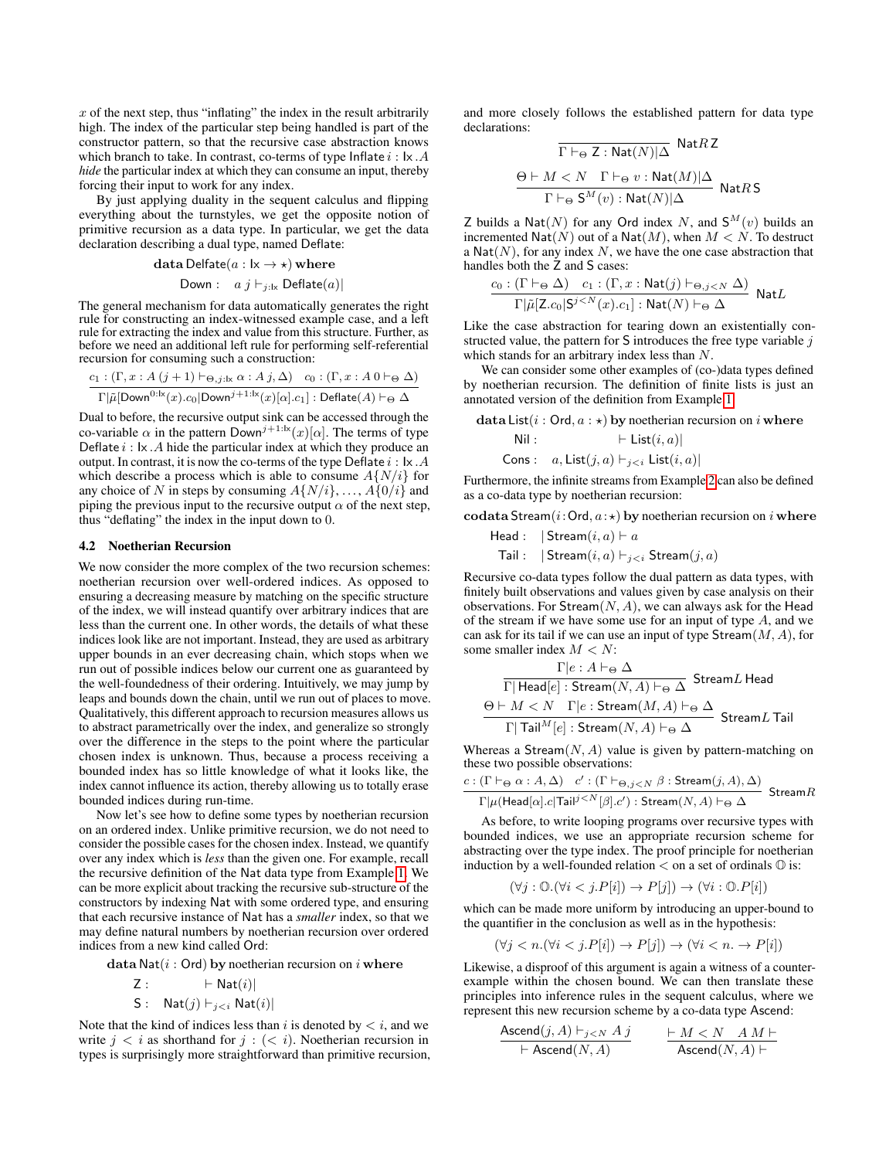$x$  of the next step, thus "inflating" the index in the result arbitrarily high. The index of the particular step being handled is part of the constructor pattern, so that the recursive case abstraction knows which branch to take. In contrast, co-terms of type Inflate  $i : \mathsf{I} \times \mathcal{A}$ *hide* the particular index at which they can consume an input, thereby forcing their input to work for any index.

By just applying duality in the sequent calculus and flipping everything about the turnstyles, we get the opposite notion of primitive recursion as a data type. In particular, we get the data declaration describing a dual type, named Deflate:

data Delfate $(a : \mathsf{lx} \to \star)$  where

Down: 
$$
a \, j \vdash_{j:\text{lx}} \text{Deflate}(a)
$$

The general mechanism for data automatically generates the right rule for constructing an index-witnessed example case, and a left rule for extracting the index and value from this structure. Further, as before we need an additional left rule for performing self-referential recursion for consuming such a construction:

$$
\frac{c_1: (\Gamma, x: A (j + 1) \vdash_{\Theta, j: \mathsf{lx}} \alpha: A j, \Delta) \quad c_0: (\Gamma, x: A 0 \vdash_{\Theta} \Delta)}{\Gamma | \tilde{\mu}[\text{Down}^{0: \mathsf{lx}}(x).c_0 | \text{Down}^{j+1: \mathsf{lx}}(x)[\alpha].c_1] : \text{Deflate}(A) \vdash_{\Theta} \Delta}
$$

Dual to before, the recursive output sink can be accessed through the co-variable  $\alpha$  in the pattern Down<sup>j+1:lx</sup>(x)[ $\alpha$ ]. The terms of type Deflate  $i : \mathsf{I} \times \mathcal{A}$  hide the particular index at which they produce an output. In contrast, it is now the co-terms of the type Deflate  $i : \mathsf{lx} \, . A$ which describe a process which is able to consume  $A\{N/i\}$  for any choice of N in steps by consuming  $A\{N/i\}, \ldots, A\{0/i\}$  and piping the previous input to the recursive output  $\alpha$  of the next step, thus "deflating" the index in the input down to 0.

#### 4.2 Noetherian Recursion

We now consider the more complex of the two recursion schemes: noetherian recursion over well-ordered indices. As opposed to ensuring a decreasing measure by matching on the specific structure of the index, we will instead quantify over arbitrary indices that are less than the current one. In other words, the details of what these indices look like are not important. Instead, they are used as arbitrary upper bounds in an ever decreasing chain, which stops when we run out of possible indices below our current one as guaranteed by the well-foundedness of their ordering. Intuitively, we may jump by leaps and bounds down the chain, until we run out of places to move. Qualitatively, this different approach to recursion measures allows us to abstract parametrically over the index, and generalize so strongly over the difference in the steps to the point where the particular chosen index is unknown. Thus, because a process receiving a bounded index has so little knowledge of what it looks like, the index cannot influence its action, thereby allowing us to totally erase bounded indices during run-time.

Now let's see how to define some types by noetherian recursion on an ordered index. Unlike primitive recursion, we do not need to consider the possible cases for the chosen index. Instead, we quantify over any index which is *less* than the given one. For example, recall the recursive definition of the Nat data type from Example [1.](#page-1-2) We can be more explicit about tracking the recursive sub-structure of the constructors by indexing Nat with some ordered type, and ensuring that each recursive instance of Nat has a *smaller* index, so that we may define natural numbers by noetherian recursion over ordered indices from a new kind called Ord:

data Nat $(i : Ord)$  by noetherian recursion on i where

$$
\mathsf{Z}:\qquad \qquad \vdash \mathsf{Nat}(i)|
$$

S :  $\mathsf{Nat}(j) \vdash_{j$ 

Note that the kind of indices less than i is denoted by  $\lt i$ , and we write  $j < i$  as shorthand for  $j : \{ < i \}$ . Noetherian recursion in types is surprisingly more straightforward than primitive recursion, and more closely follows the established pattern for data type declarations:  $-$  N<sub>at</sub> $D$  7

$$
\Gamma \vdash_{\Theta} \mathsf{Z} : \mathsf{Nat}(N)|\Delta \atop \Theta \vdash M < N \quad \Gamma \vdash_{\Theta} v : \mathsf{Nat}(M)|\Delta \atop \Gamma \vdash_{\Theta} \mathsf{S}^M(v) : \mathsf{Nat}(N)|\Delta \quad \mathsf{Nat} R \mathsf{S}
$$

Z builds a Nat(N) for any Ord index N, and  $S^{M}(v)$  builds an incremented  $\text{Nat}(N)$  out of a  $\text{Nat}(M)$ , when  $M < N$ . To destruct a  $Nat(N)$ , for any index N, we have the one case abstraction that handles both the Z and S cases:

$$
\frac{c_0 : (\Gamma \vdash_{\Theta} \Delta) \quad c_1 : (\Gamma, x : \mathsf{Nat}(j) \vdash_{\Theta, j < N} \Delta)}{\Gamma | \tilde{\mu}[\mathsf{Z}.c_0 | \mathsf{S}^{j < N}(x).c_1] : \mathsf{Nat}(N) \vdash_{\Theta} \Delta} \mathsf{Nat} L
$$

Like the case abstraction for tearing down an existentially constructed value, the pattern for  $S$  introduces the free type variable  $j$ which stands for an arbitrary index less than N.

We can consider some other examples of (co-)data types defined by noetherian recursion. The definition of finite lists is just an annotated version of the definition from Example [1:](#page-1-2)

data List( $i : \text{Ord}, a : \star$ ) by noetherian recursion on i where Nil :  $\qquad \qquad \vdash \mathsf{List}(i, a)|$ Cons :  $a, \text{List}(j, a) \vdash_{j < i} \text{List}(i, a)|$ Furthermore, the infinite streams from Example [2](#page-2-2) can also be defined

as a co-data type by noetherian recursion:

codata Stream( $i:$ Ord,  $a:\star$ ) by noetherian recursion on  $i$  where

Head :  $\int$  Stream $(i, a) \vdash a$ Tail :  $|\operatorname{Stream}(i, a) \vdash_{j < i} \operatorname{Stream}(j, a)|$ 

Recursive co-data types follow the dual pattern as data types, with finitely built observations and values given by case analysis on their observations. For  $\text{Stream}(N, A)$ , we can always ask for the Head of the stream if we have some use for an input of type  $A$ , and we can ask for its tail if we can use an input of type  $\text{Stream}(M, A)$ , for some smaller index  $M < N$ :

$$
\dfrac{\Gamma|e:A\vdash_{\Theta}\Delta}{\Gamma|\operatorname{Head}[e]:\operatorname{Stream}(N,A)\vdash_{\Theta}\Delta}\operatorname{Stream}L\operatorname{Head}\\ \underline{\Theta\vdash M< N\quad \Gamma|e:\operatorname{Stream}(M,A)\vdash_{\Theta}\Delta}\operatorname{Stream}L\operatorname{Tail}\\\dfrac{\Gamma|\operatorname{Tail}^M[e]:\operatorname{Stream}(N,A)\vdash_{\Theta}\Delta}{\Gamma|\operatorname{Tail}^M[e]:\operatorname{Stream}(N,A)\vdash_{\Theta}\Delta}\operatorname{Stream}L\operatorname{Tail}
$$

Whereas a Stream $(N, A)$  value is given by pattern-matching on these two possible observations:

$$
\frac{c:(\Gamma\vdash_{\Theta}\alpha:A,\Delta)\quad c':(\Gamma\vdash_{\Theta,j
$$

As before, to write looping programs over recursive types with bounded indices, we use an appropriate recursion scheme for abstracting over the type index. The proof principle for noetherian induction by a well-founded relation  $\lt$  on a set of ordinals  $\mathbb O$  is:

$$
(\forall j: \mathbb{O}.(\forall i < j. P[i]) \rightarrow P[j]) \rightarrow (\forall i: \mathbb{O}.P[i])
$$

which can be made more uniform by introducing an upper-bound to the quantifier in the conclusion as well as in the hypothesis:

$$
(\forall j < n. (\forall i < j. P[i]) \rightarrow P[j]) \rightarrow (\forall i < n. \rightarrow P[i])
$$

Likewise, a disproof of this argument is again a witness of a counterexample within the chosen bound. We can then translate these principles into inference rules in the sequent calculus, where we represent this new recursion scheme by a co-data type Ascend:

$$
\frac{\operatorname{Ascend}(j, A) \vdash_{j < N} A j}{\vdash \operatorname{Ascend}(N, A)} \qquad \frac{\vdash M < N \quad A M \vdash}{\operatorname{Ascend}(N, A) \vdash}
$$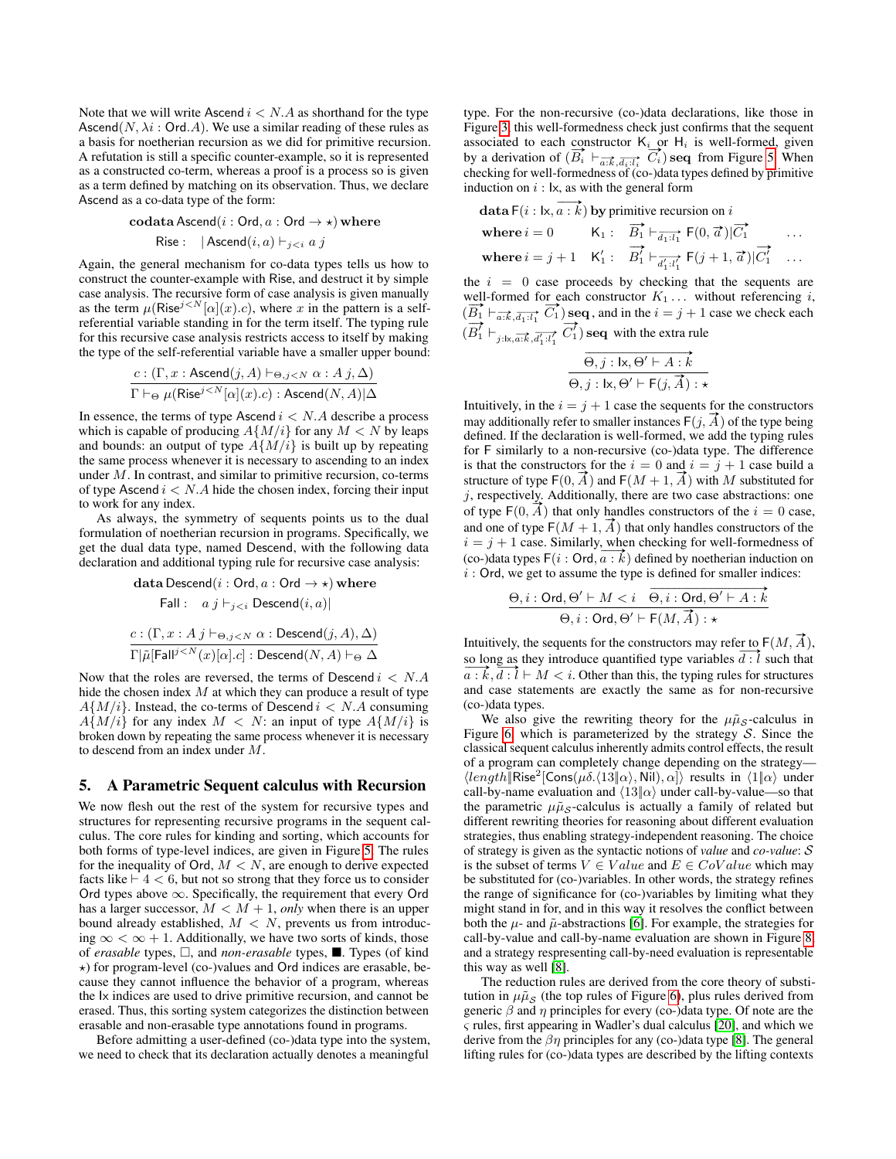Note that we will write Ascend  $i < N.A$  as shorthand for the type Ascend $(N, \lambda i : \text{Ord. } A)$ . We use a similar reading of these rules as a basis for noetherian recursion as we did for primitive recursion. A refutation is still a specific counter-example, so it is represented as a constructed co-term, whereas a proof is a process so is given as a term defined by matching on its observation. Thus, we declare Ascend as a co-data type of the form:

$$
\text{codata} \text{Ascend}(i : \text{Ord}, a : \text{Ord} \rightarrow \star) \text{where}
$$
  
 
$$
\text{Rise}: \ \ |\text{Ascend}(i, a) \vdash_{j < i} a j
$$

Again, the general mechanism for co-data types tells us how to construct the counter-example with Rise, and destruct it by simple case analysis. The recursive form of case analysis is given manually as the term  $\mu$ (Rise<sup>j < N</sup>[ $\alpha$ ](x).c), where x in the pattern is a selfreferential variable standing in for the term itself. The typing rule for this recursive case analysis restricts access to itself by making the type of the self-referential variable have a smaller upper bound:

$$
\frac{c : (\Gamma, x : \text{Ascend}(j, A) \vdash_{\Theta, j < N} \alpha : A j, \Delta)}{\Gamma \vdash_{\Theta} \mu(\text{Rise}^{j < N}[\alpha](x).c) : \text{Ascend}(N, A)|\Delta}
$$

In essence, the terms of type Ascend  $i < N.A$  describe a process which is capable of producing  $A\{M/i\}$  for any  $M < N$  by leaps and bounds: an output of type  $A\{M/i\}$  is built up by repeating the same process whenever it is necessary to ascending to an index under M. In contrast, and similar to primitive recursion, co-terms of type Ascend  $i < N.A$  hide the chosen index, forcing their input to work for any index.

As always, the symmetry of sequents points us to the dual formulation of noetherian recursion in programs. Specifically, we get the dual data type, named Descend, with the following data declaration and additional typing rule for recursive case analysis:

data Descend(*i* : Ord, *a* : Ord 
$$
\rightarrow \star
$$
) where  
\nFall :  $a \, j \vdash_{j Descend(*i*, *a*)|  
\n $c : (\Gamma, x : A \, j \vdash_{\Theta, j < N} \alpha : Descend(j, A), \Delta)$   
\n $\Gamma | \tilde{\mu} | \text{Fall}^{\{j < N}(x) [\alpha], c| : Descend(N, A) \vdash_{\Theta} \Delta$$ 

Now that the roles are reversed, the terms of Descend  $i < N.A$ hide the chosen index  $M$  at which they can produce a result of type  $A\{M/i\}$ . Instead, the co-terms of Descend  $i < N.A$  consuming  $A\{M/i\}$  for any index  $M < N$ : an input of type  $A\{M/i\}$  is broken down by repeating the same process whenever it is necessary to descend from an index under M.

## <span id="page-7-0"></span>5. A Parametric Sequent calculus with Recursion

We now flesh out the rest of the system for recursive types and structures for representing recursive programs in the sequent calculus. The core rules for kinding and sorting, which accounts for both forms of type-level indices, are given in Figure [5.](#page-8-0) The rules for the inequality of Ord,  $M < N$ , are enough to derive expected facts like  $\vdash$  4 < 6, but not so strong that they force us to consider Ord types above ∞. Specifically, the requirement that every Ord has a larger successor,  $M < M + 1$ , *only* when there is an upper bound already established,  $M < N$ , prevents us from introducing  $\infty < \infty + 1$ . Additionally, we have two sorts of kinds, those of *erasable* types,  $\Box$ , and *non-erasable* types,  $\blacksquare$ . Types (of kind ?) for program-level (co-)values and Ord indices are erasable, because they cannot influence the behavior of a program, whereas the Ix indices are used to drive primitive recursion, and cannot be erased. Thus, this sorting system categorizes the distinction between erasable and non-erasable type annotations found in programs.

Before admitting a user-defined (co-)data type into the system, we need to check that its declaration actually denotes a meaningful type. For the non-recursive (co-)data declarations, like those in Figure [3,](#page-4-2) this well-formedness check just confirms that the sequent associated to each constructor  $K_i$  or  $H_i$  is well-formed, given associated to each constructor  $\kappa_i$  or  $\pi_i$  is well-formed, given<br>by a derivation of  $(\overrightarrow{B_i} \vdash_{\overrightarrow{a:k}}, \overrightarrow{a_i} \cdot \overrightarrow{b_i})$  seq from Figure [5.](#page-8-0) When checking for well-formedness of (co-)data types defined by primitive induction on  $i:$  lx, as with the general form

data F(*i* : 
$$
\vert x, \overrightarrow{a : k}
$$
) by primitive recursion on *i*  
\nwhere  $i = 0$   $K_1: \overrightarrow{B_1} \vdash_{\overrightarrow{d_1 : l_1}}$  F(0,  $\overrightarrow{a}$ )  $|\overrightarrow{C_1}$  ...  
\nwhere  $i = j + 1$   $K'_1: \overrightarrow{B'_1} \vdash_{\overrightarrow{d'_1 : l'_1}}$  F( $j + 1, \overrightarrow{a}$ )  $|\overrightarrow{C_1}$  ...

the  $i = 0$  case proceeds by checking that the sequents are well-formed for each constructor  $K_1 \ldots$  without referencing i, well-formed for each constructor  $R_1 \dots$  without referencing *i*.<br>  $(\overline{B_1} \vdash_{\overline{a:k}}, \overline{A_1:i_1} \ \overline{C_1})$  seq, and in the  $i = j + 1$  case we check each (  $\stackrel{\nu_1}{\rightarrow}$  $B_1^f \vdash_{j:\mathsf{l}\mathsf{x},\overrightarrow{a:\mathsf{k}},\overrightarrow{d'_1:\mathsf{l}'_1}}$  $\stackrel{\tt loc}{\to}$  $C_1^{\prime}$ ) seq with the extra rule

$$
\overrightarrow{\Theta, j : \mathsf{lx}, \Theta' \vdash A : k}
$$

$$
\overrightarrow{\Theta, j : \mathsf{lx}, \Theta' \vdash \mathsf{F}(j, \overrightarrow{A}) : \star}
$$

Intuitively, in the  $i = j + 1$  case the sequents for the constructors may additionally refer to smaller instances  $F(j, \overline{A})$  of the type being defined. If the declaration is well-formed, we add the typing rules for F similarly to a non-recursive (co-)data type. The difference is that the constructors for the  $i = 0$  and  $i = j + 1$  case build a is that the constructors for the  $i = 0$  and  $i = j + 1$  case build a<br>structure of type  $F(0, \vec{A})$  and  $F(M + 1, \vec{A})$  with M substituted for  $j$ , respectively. Additionally, there are two case abstractions: one *j*, respectively. Additionally, there are two case abstractions: one of type  $F(0, \tilde{A})$  that only handles constructors of the  $i = 0$  case, of type  $F(0, A)$  that only handles constructors of the  $i = 0$  case,<br>and one of type  $F(M + 1, \overrightarrow{A})$  that only handles constructors of the  $i = j + 1$  case. Similarly, when checking for well-formedness of (co-)data types  $F(i: Ord, a : k)$  defined by noetherian induction on  $i$ : Ord, we get to assume the type is defined for smaller indices:

$$
\frac{\Theta, i: \text{Ord}, \Theta' \vdash M < i \quad \overrightarrow{\Theta, i: \text{Ord}, \Theta' \vdash A : k}}{\Theta, i: \text{Ord}, \Theta' \vdash \text{F}(M, \overrightarrow{A}) : \star}
$$

Intuitively, the sequents for the constructors may refer to  $F(M, \vec{A})$ , Intuitively, the sequents for the constructors may refer to  $F(M, A)$ .<br>so long as they introduce quantified type variables  $\overline{d}$ :  $\overline{l}$  such that  $a : k, \overline{d : l} \vdash M < i$ . Other than this, the typing rules for structures and case statements are exactly the same as for non-recursive (co-)data types.

We also give the rewriting theory for the  $\mu\tilde{\mu}_S$ -calculus in Figure [6,](#page-8-1) which is parameterized by the strategy  $S$ . Since the classical sequent calculus inherently admits control effects, the result of a program can completely change depending on the strategy—  $\langle length \vert \textsf{Rise}^2 \vert \textsf{Cons}(\mu\delta.\langle 13 \vert \vert \alpha\rangle, \textsf{Nil}), \alpha \vert \rangle$  results in  $\langle 1 \vert \alpha \rangle$  under call-by-name evaluation and  $\langle 13|\alpha \rangle$  under call-by-value—so that the parametric  $\mu \tilde{\mu}_s$ -calculus is actually a family of related but different rewriting theories for reasoning about different evaluation strategies, thus enabling strategy-independent reasoning. The choice of strategy is given as the syntactic notions of *value* and *co-value*: S is the subset of terms  $V \in Value$  and  $E \in CoValue$  which may be substituted for (co-)variables. In other words, the strategy refines the range of significance for (co-)variables by limiting what they might stand in for, and in this way it resolves the conflict between both the  $\mu$ - and  $\tilde{\mu}$ -abstractions [\[6\]](#page-12-10). For example, the strategies for call-by-value and call-by-name evaluation are shown in Figure [8,](#page-8-2) and a strategy respresenting call-by-need evaluation is representable this way as well [\[8\]](#page-12-9).

The reduction rules are derived from the core theory of substitution in  $\mu\tilde{\mu}_S$  (the top rules of Figure [6\)](#page-8-1), plus rules derived from generic  $\beta$  and  $\eta$  principles for every (co-)data type. Of note are the ς rules, first appearing in Wadler's dual calculus [\[20\]](#page-12-12), and which we derive from the  $\beta\eta$  principles for any (co-)data type [\[8\]](#page-12-9). The general lifting rules for (co-)data types are described by the lifting contexts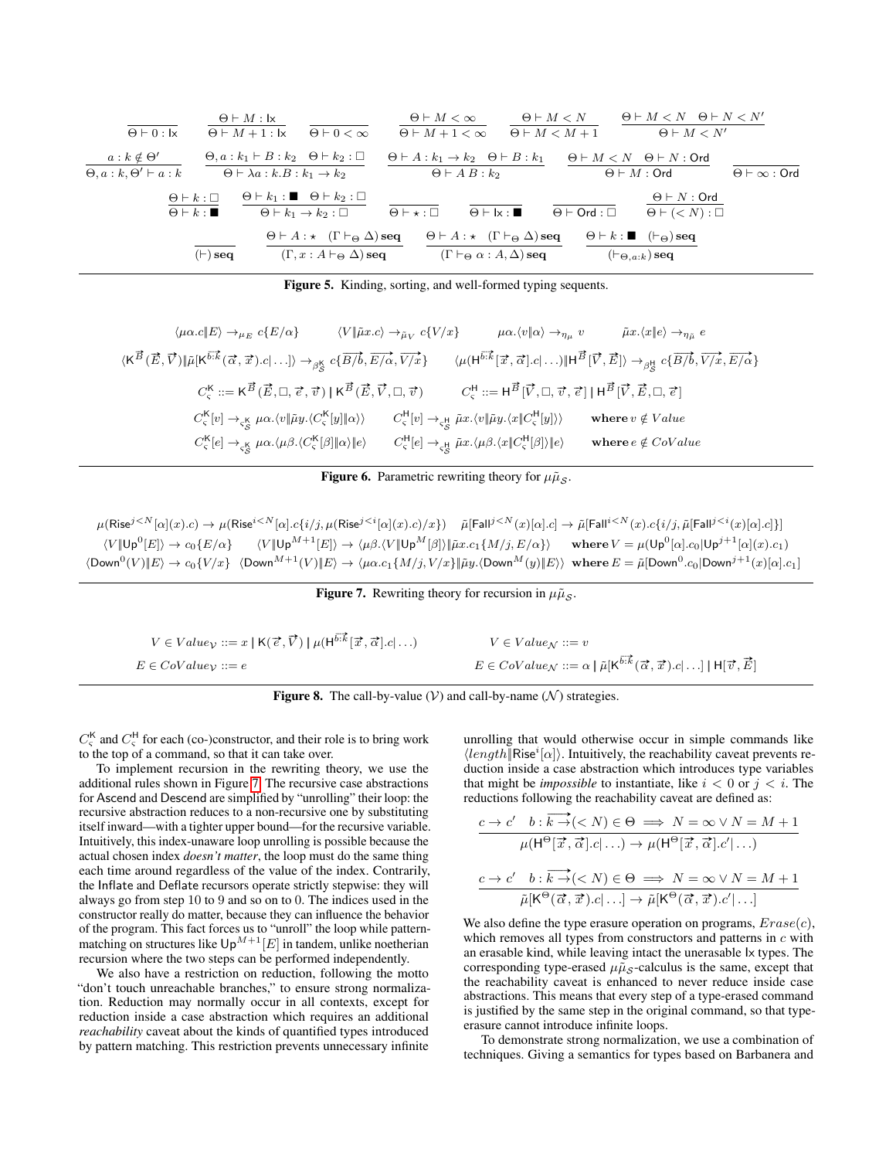| $\Theta \vdash 0 : \mathsf{I} \times$                                | $\Theta \vdash M : \mathsf{I} \times$<br>$\Theta$ $\vdash$ $M$ + 1 : 1x |                                                       | $\Theta \vdash 0 < \infty$                                                                                      |                                       | $\Theta \vdash M < \infty$<br>$\Theta \vdash M + 1 < \infty$ |                                                                                                                      | $\Theta \vdash M < N$<br>$\Theta$ $\vdash$ $M$ $\lt$ $M$ $+$ 1 |                                                                                         | $\Theta \vdash M < N$ $\Theta \vdash N < N'$<br>$\Theta \vdash M < N'$ |                                       |
|----------------------------------------------------------------------|-------------------------------------------------------------------------|-------------------------------------------------------|-----------------------------------------------------------------------------------------------------------------|---------------------------------------|--------------------------------------------------------------|----------------------------------------------------------------------------------------------------------------------|----------------------------------------------------------------|-----------------------------------------------------------------------------------------|------------------------------------------------------------------------|---------------------------------------|
| $a: k \notin \Theta'$<br>$\Theta$ , $a : k$ , $\Theta' \vdash a : k$ |                                                                         | $\Theta \vdash \lambda a : k.B : k_1 \rightarrow k_2$ | $\Theta$ , $a : k_1 \vdash B : k_2 \quad \Theta \vdash k_2 : \Box$                                              |                                       | $\Theta$ $\vdash$ A B : $k_2$                                | $\Theta \vdash A : k_1 \rightarrow k_2 \quad \Theta \vdash B : k_1$                                                  |                                                                | $\Theta \vdash M < N$ $\Theta \vdash N$ : Ord<br>$\Theta \vdash M : \mathsf{Ord}$       |                                                                        | $\Theta \vdash \infty : \mathsf{Ord}$ |
|                                                                      | $\Theta \vdash k : \Box$<br>$\Theta \vdash k : \blacksquare$            |                                                       | $\Theta \vdash k_1 : \blacksquare \quad \Theta \vdash k_2 : \square$<br>$\Theta \vdash k_1 \to k_2 : \Box$      | $\Theta$ $\vdash$ $\star$ : $\square$ |                                                              | $\Theta \vdash k : \blacksquare$                                                                                     | $\Theta \vdash \mathsf{Ord} : \Box$                            |                                                                                         | $\Theta \vdash N : \mathsf{Ord}$<br>$\Theta \vdash (\lt N) : \Box$     |                                       |
|                                                                      | $(\vdash)$ seq                                                          |                                                       | $\Theta \vdash A : \star$ $(\Gamma \vdash_{\Theta} \Delta)$ seq<br>$(\Gamma, x : A \vdash_{\Theta} \Delta)$ seq |                                       |                                                              | $\Theta \vdash A : \star$ $(\Gamma \vdash_{\Theta} \Delta)$ seq<br>$(\Gamma \vdash_{\Theta} \alpha : A, \Delta)$ seq |                                                                | $\Theta \vdash k : \blacksquare$ $(\vdash_{\Theta})$ seq<br>$(\vdash_{\Theta,a:k})$ seq |                                                                        |                                       |

<span id="page-8-0"></span>Figure 5. Kinding, sorting, and well-formed typing sequents.

| $\langle \mu \alpha.c \Vert E \rangle \rightarrow \mu_E c \{E/\alpha\}$                                                                                                                                             | $\langle V \tilde{\mu}x.c\rangle \rightarrow_{\tilde{\mu}_V} c\{V/x\}$ | $\mu\alpha.\langle v \alpha\rangle \rightarrow_{\eta\mu} v$                                                                                                                           | $\tilde{\mu}x.\langle x e\rangle \rightarrow_{\eta_{\tilde{\mu}}} e$                                                                                                                                                                 |
|---------------------------------------------------------------------------------------------------------------------------------------------------------------------------------------------------------------------|------------------------------------------------------------------------|---------------------------------------------------------------------------------------------------------------------------------------------------------------------------------------|--------------------------------------------------------------------------------------------------------------------------------------------------------------------------------------------------------------------------------------|
| $\langle K^{\vec{B}}(\vec{E},\vec{V})   \tilde{\mu} [K^{\vec{b}:\vec{k}}(\vec{\alpha},\vec{x}).c \ldots] \rangle \rightarrow_{\beta_5^k} c\{\overrightarrow{B/b},\overrightarrow{E/\alpha},\overrightarrow{V/x}\}\$ |                                                                        |                                                                                                                                                                                       | $\langle \mu(H^{\overline{b:\vec{k}}}[\vec{x},\vec{\alpha}].c  \ldots) \  H^{\vec{B}}[\vec{V},\vec{E}] \rangle \rightarrow_{\beta_{\vec{S}}^{\mathbf{H}}} c\{\overrightarrow{B/b},\overrightarrow{V/x},\overrightarrow{E/\alpha}\}\$ |
| $C_{\varsigma}^{\mathsf{K}} ::= \mathsf{K}^{\vec{B}}(\vec{E},\Box,\vec{e},\vec{v})   \mathsf{K}^{\vec{B}}(\vec{E},\vec{V},\Box,\vec{v})$                                                                            |                                                                        | $C_{\varsigma}^{H} ::= H^{\vec{B}}[\vec{V}, \Box, \vec{v}, \vec{\epsilon}]   H^{\vec{B}}[\vec{V}, \vec{E}, \Box, \vec{\epsilon}]$                                                     |                                                                                                                                                                                                                                      |
| $C_{\varsigma}^{\mathsf{K}}[v] \rightarrow_{\varsigma_{\varsigma}^{\mathsf{K}}} \mu \alpha. \langle v \Vert \tilde{\mu} y. \langle C_{\varsigma}^{\mathsf{K}}[y] \Vert \alpha \rangle \rangle$                      |                                                                        | $C_{\varsigma}^{\mathsf{H}}[v] \rightarrow_{\varsigma_{\varsigma}^{\mathsf{H}}} \tilde{\mu}x.\langle v \tilde{\mu}y.\langle x\ C_{\varsigma}^{\mathsf{H}}[y]\rangle\rangle$           | where $v \notin Value$                                                                                                                                                                                                               |
| $C_{\varsigma}^{\mathsf{K}}[e] \rightarrow_{\varsigma_{\varsigma}^{\mathsf{K}}} \mu \alpha. \langle \mu \beta. \langle C_{\varsigma}^{\mathsf{K}}[\beta] \ \alpha\rangle\ e\rangle$                                 |                                                                        | $C_{\varsigma}^{\mathsf{H}}[e] \rightarrow_{\varsigma_{\varsigma}^{\mathsf{H}}} \tilde{\mu}x. \langle \mu \beta. \langle x \  C_{\varsigma}^{\mathsf{H}}[\beta] \rangle \  e \rangle$ | where $e \notin CoValue$                                                                                                                                                                                                             |

<span id="page-8-1"></span>**Figure 6.** Parametric rewriting theory for  $\mu\tilde{\mu}_{\mathcal{S}}$ .

 $\mu(\mathsf{Rise}^{j\leq N}[\alpha](x).c)\rightarrow \mu(\mathsf{Rise}^{i\leq N}[\alpha].c\{i/j,\mu(\mathsf{Rise}^{j\leq i}[\alpha](x).c)/x\})\quad \tilde{\mu}[\mathsf{Fall}^{j\leq N}(x)[\alpha].c]\rightarrow \tilde{\mu}[\mathsf{Fall}^{i\leq N}(x).c\{i/j,\tilde{\mu}[\mathsf{Fall}^{j\leq i}(x)[\alpha].c]\}]$  $\langle V \vert \mathsf{Up}^0[E] \rangle \to c_0 \{E/\alpha\}$  $\ket{E} \rightarrow c_0 \{E/\alpha\} \hspace{0.5cm} \langle V \| {\sf Up}^{M+1}[E] \rangle \rightarrow \langle \mu \beta. \langle V \| {\sf Up}^{M}[\beta] \rangle \| \tilde{\mu} x. c_1 \{M/j, E/\alpha\} \rangle \hspace{0.5cm} {\bf where} \ V = \mu({\sf Up}^{0}[\alpha].c_0 | {\sf Up}^{j+1}[\alpha](x).c_1)$  $\langle {\sf Down}^0(V) \| E\rangle \to c_0\{V/x\}$   $\langle {\sf Down}^{M+1}(V) \| E\rangle \to \langle \mu\alpha.c_1\{M/j,V/x\} \| \tilde\mu y. \langle {\sf Down}^M(y) \| E\rangle \rangle$  where  $E=\tilde\mu[{\sf Down}^0.c_0 |{\sf Down}^{j+1}(x)[\alpha].c_1]$ 

<span id="page-8-3"></span>

| <b>Figure 7.</b> Rewriting theory for recursion in $\mu\tilde{\mu}_{\mathcal{S}}$ . |  |  |
|-------------------------------------------------------------------------------------|--|--|

| $V \in Value_{\mathcal{V}} ::= x \mid \mathsf{K}(\vec{e}, \vec{V}) \mid \mu(\mathsf{H}^{\vec{b}:\vec{k}}   \vec{x}, \vec{\alpha} .c   \ldots)$ | $V \in Value_{\mathcal{N}} ::= v$                                                                                                                                   |
|------------------------------------------------------------------------------------------------------------------------------------------------|---------------------------------------------------------------------------------------------------------------------------------------------------------------------|
| $E \in CoValue_{\mathcal{V}} ::= e$                                                                                                            | $E \in CoValue_{\mathcal{N}} ::= \alpha \mid \tilde{\mu}[\mathsf{K}^{\overrightarrow{b:k}}(\vec{\alpha}, \vec{x}).c \mid \ldots] \mid \mathsf{H}[\vec{v}, \vec{E}]$ |

<span id="page-8-2"></span>

 $C_{\varsigma}^{K}$  and  $C_{\varsigma}^{H}$  for each (co-)constructor, and their role is to bring work to the top of a command, so that it can take over.

To implement recursion in the rewriting theory, we use the additional rules shown in Figure [7.](#page-8-3) The recursive case abstractions for Ascend and Descend are simplified by "unrolling" their loop: the recursive abstraction reduces to a non-recursive one by substituting itself inward—with a tighter upper bound—for the recursive variable. Intuitively, this index-unaware loop unrolling is possible because the actual chosen index *doesn't matter*, the loop must do the same thing each time around regardless of the value of the index. Contrarily, the Inflate and Deflate recursors operate strictly stepwise: they will always go from step 10 to 9 and so on to 0. The indices used in the constructor really do matter, because they can influence the behavior of the program. This fact forces us to "unroll" the loop while patternmatching on structures like  $\mathsf{Up}^{M+1}[E]$  in tandem, unlike noetherian recursion where the two steps can be performed independently.

We also have a restriction on reduction, following the motto "don't touch unreachable branches," to ensure strong normalization. Reduction may normally occur in all contexts, except for reduction inside a case abstraction which requires an additional *reachability* caveat about the kinds of quantified types introduced by pattern matching. This restriction prevents unnecessary infinite unrolling that would otherwise occur in simple commands like  $\langle length \vert \textsf{Rise}^i[\alpha] \rangle$ . Intuitively, the reachability caveat prevents reduction inside a case abstraction which introduces type variables that might be *impossible* to instantiate, like  $i < 0$  or  $j < i$ . The reductions following the reachability caveat are defined as:

$$
\cfrac{c \to c' \quad b: \overrightarrow{k \to } (\n
$$
\cfrac{c \to c' \quad b: \overrightarrow{k \to } (
$$
$$

We also define the type erasure operation on programs,  $Erase(c)$ , which removes all types from constructors and patterns in  $c$  with an erasable kind, while leaving intact the unerasable Ix types. The corresponding type-erased  $\mu \tilde{\mu}_s$ -calculus is the same, except that the reachability caveat is enhanced to never reduce inside case abstractions. This means that every step of a type-erased command is justified by the same step in the original command, so that typeerasure cannot introduce infinite loops.

To demonstrate strong normalization, we use a combination of techniques. Giving a semantics for types based on Barbanera and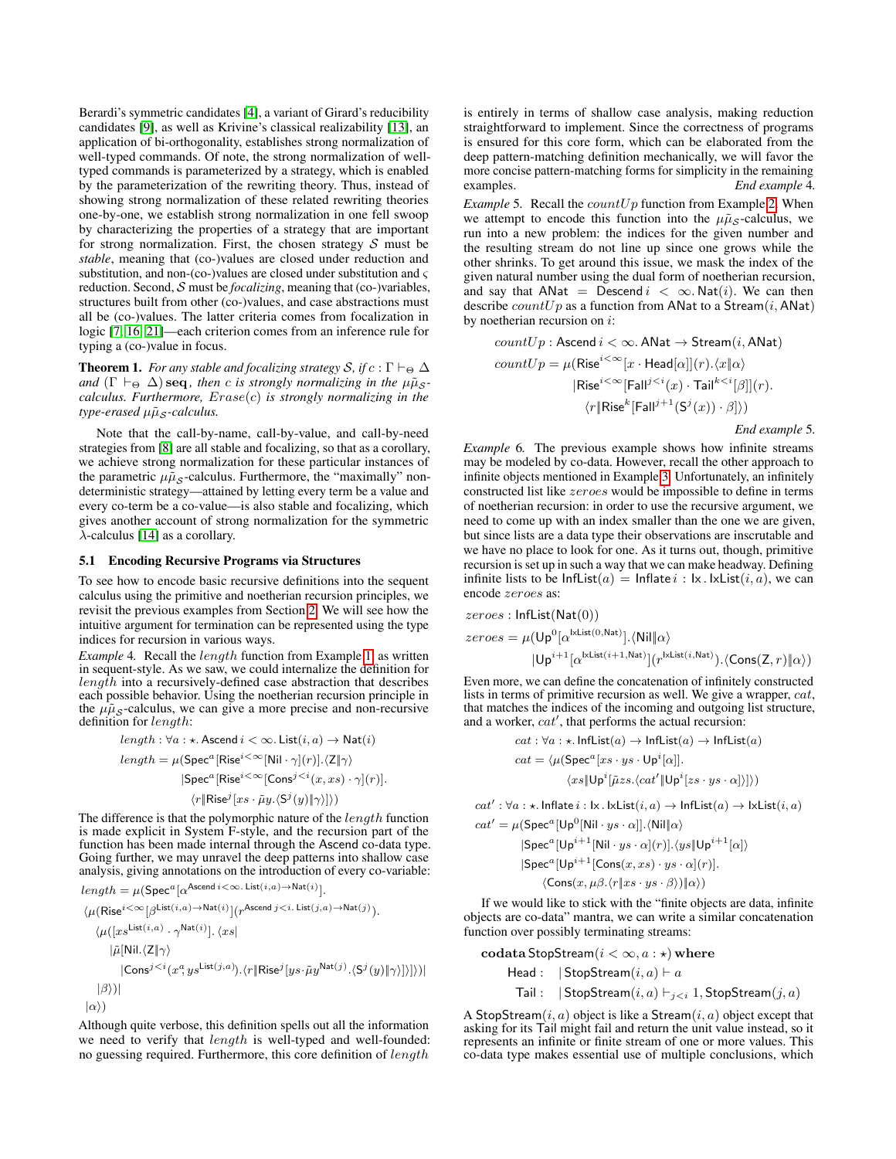Berardi's symmetric candidates [\[4\]](#page-12-13), a variant of Girard's reducibility candidates [\[9\]](#page-12-14), as well as Krivine's classical realizability [\[13\]](#page-12-15), an application of bi-orthogonality, establishes strong normalization of well-typed commands. Of note, the strong normalization of welltyped commands is parameterized by a strategy, which is enabled by the parameterization of the rewriting theory. Thus, instead of showing strong normalization of these related rewriting theories one-by-one, we establish strong normalization in one fell swoop by characterizing the properties of a strategy that are important for strong normalization. First, the chosen strategy  $S$  must be *stable*, meaning that (co-)values are closed under reduction and substitution, and non-(co-)values are closed under substitution and  $\varsigma$ reduction. Second, S must be *focalizing*, meaning that (co-)variables, structures built from other (co-)values, and case abstractions must all be (co-)values. The latter criteria comes from focalization in logic [\[7,](#page-12-16) [16,](#page-12-7) [21\]](#page-12-17)—each criterion comes from an inference rule for typing a (co-)value in focus.

**Theorem 1.** *For any stable and focalizing strategy*  $S$ *, if*  $c : \Gamma \vdash_{\Theta} \Delta$ *and*  $(\Gamma \vdash_{\Theta} \Delta)$  **seq**, then c is strongly normalizing in the  $\mu\tilde{\mu}_{S}$ *calculus. Furthermore,* Erase(c) *is strongly normalizing in the*  $type-erased \mu\tilde{\mu}_\mathcal{S}$ *-calculus.* 

Note that the call-by-name, call-by-value, and call-by-need strategies from [\[8\]](#page-12-9) are all stable and focalizing, so that as a corollary, we achieve strong normalization for these particular instances of the parametric  $\mu \tilde{\mu}_s$ -calculus. Furthermore, the "maximally" nondeterministic strategy—attained by letting every term be a value and every co-term be a co-value—is also stable and focalizing, which gives another account of strong normalization for the symmetric  $\lambda$ -calculus [\[14\]](#page-12-18) as a corollary.

#### 5.1 Encoding Recursive Programs via Structures

To see how to encode basic recursive definitions into the sequent calculus using the primitive and noetherian recursion principles, we revisit the previous examples from Section [2.](#page-1-0) We will see how the intuitive argument for termination can be represented using the type indices for recursion in various ways.

*Example* 4*.* Recall the length function from Example [1,](#page-1-2) as written in sequent-style. As we saw, we could internalize the definition for  $length$  into a recursively-defined case abstraction that describes each possible behavior. Using the noetherian recursion principle in the  $\mu\tilde{\mu}_{\mathcal{S}}$ -calculus, we can give a more precise and non-recursive definition for length:

$$
length: \forall a: \star \text{.} \text{Ascend } i < \infty. \text{ List}(i, a) \to \text{Nat}(i)
$$
\n
$$
length = \mu(\text{Spec}^a[\text{Rise}^{i < \infty}[\text{Nil} \cdot \gamma](r)].\langle \mathbb{Z} \mid \gamma \rangle
$$
\n
$$
|\text{Spec}^a[\text{Rise}^{i < \infty}[\text{Cons}^{j < i}(x, xs) \cdot \gamma](r)].
$$
\n
$$
\langle r | \text{Rise}^j[xs \cdot \tilde{\mu}y. \langle S^j(y) \mid \gamma \rangle] \rangle)
$$

The difference is that the polymorphic nature of the *length* function is made explicit in System F-style, and the recursion part of the function has been made internal through the Ascend co-data type. Going further, we may unravel the deep patterns into shallow case analysis, giving annotations on the introduction of every co-variable:

$$
\begin{aligned} length &= \mu(\mathsf{Spec}^a[\alpha^{\mathsf{Ascend}\,i<\infty\ldots\mathsf{List}(i,a)\rightarrow\mathsf{Nat}(i)}].\\ &\langle \mu(\mathsf{Rise}^{i<\infty}[\beta^{\mathsf{List}(i,a)\rightarrow\mathsf{Nat}(i)}](r^{\mathsf{Ascend}\,j
$$

Although quite verbose, this definition spells out all the information we need to verify that *length* is well-typed and well-founded: no guessing required. Furthermore, this core definition of length

is entirely in terms of shallow case analysis, making reduction straightforward to implement. Since the correctness of programs is ensured for this core form, which can be elaborated from the deep pattern-matching definition mechanically, we will favor the more concise pattern-matching forms for simplicity in the remaining examples. *End example* 4*.*

*Example* 5. Recall the *countUp* function from Example [2.](#page-2-2) When we attempt to encode this function into the  $\mu \tilde{\mu}_s$ -calculus, we run into a new problem: the indices for the given number and the resulting stream do not line up since one grows while the other shrinks. To get around this issue, we mask the index of the given natural number using the dual form of noetherian recursion, and say that ANat = Descend  $i < \infty$ . Nat(i). We can then describe  $countUp$  as a function from ANat to a Stream $(i, \text{ANat})$ by noetherian recursion on i:

$$
countUp: \text{Ascend } i < \infty. \text{ ANat} \rightarrow \text{Stream}(i, \text{ ANat})
$$
\n
$$
countUp = \mu(\text{Rise}^{i < \infty}[x \cdot \text{Head}[\alpha]](r). \langle x \| \alpha \rangle
$$
\n
$$
|\text{Rise}^{i < \infty}[\text{Fall}^{j < i}(x) \cdot \text{Tail}^{k < i}[\beta]](r).
$$
\n
$$
\langle r \| \text{Rise}^{k}[\text{Fall}^{j+1}(S^{j}(x)) \cdot \beta] \rangle)
$$

*End example* 5*.*

*Example* 6*.* The previous example shows how infinite streams may be modeled by co-data. However, recall the other approach to infinite objects mentioned in Example [3.](#page-2-3) Unfortunately, an infinitely constructed list like zeroes would be impossible to define in terms of noetherian recursion: in order to use the recursive argument, we need to come up with an index smaller than the one we are given, but since lists are a data type their observations are inscrutable and we have no place to look for one. As it turns out, though, primitive recursion is set up in such a way that we can make headway. Defining infinite lists to be  $InflList(a) = Inflate i : I \times . I \times List(i, a)$ , we can encode zeroes as:

$$
zeroes: \text{InfList}(\text{Nat}(0))
$$
  
\n
$$
zeroes = \mu(\text{Up}^{0}[\alpha^{\text{lxtist}(0,\text{Nat})}].\langle \text{Nil} \vert \alpha \rangle
$$
  
\n
$$
|\text{Up}^{i+1}[\alpha^{\text{lxtist}(i+1,\text{Nat})}](r^{\text{lxtist}(i,\text{Nat})}).\langle \text{Cons}(Z,r) \vert \alpha \rangle)
$$

Even more, we can define the concatenation of infinitely constructed lists in terms of primitive recursion as well. We give a wrapper, cat, that matches the indices of the incoming and outgoing list structure, and a worker,  $cat'$ , that performs the actual recursion:

$$
cat: \forall a: \star. \text{ InfList}(a) \rightarrow \text{InfList}(a) \rightarrow \text{InfList}(a)
$$

$$
cat = \langle \mu(\text{Spec}^a [xs \cdot ys \cdot \text{Up}^i[\alpha]].
$$

$$
\langle xs \Vert \text{Up}^i [\tilde{\mu}zs. \langle cat' \Vert \text{Up}^i [zs \cdot ys \cdot \alpha] \rangle]) \rangle
$$

 $cat' : \forall a : \star$ . Inflate  $i : \mathsf{lx} \mathsf{.} \mathsf{lxlist}(i, a) \rightarrow \mathsf{InfList}(a) \rightarrow \mathsf{lxList}(i, a)$ 

$$
cat' = \mu(\text{Spec}^a[\text{Up}^0[\text{Nil} \cdot ys \cdot \alpha]].\langle \text{Nil}|\alpha \rangle
$$
  
\n
$$
|\text{Spec}^a[\text{Up}^{i+1}[\text{Nil} \cdot ys \cdot \alpha](r)].\langle ys||\text{Up}^{i+1}[\alpha] \rangle
$$
  
\n
$$
|\text{Spec}^a[\text{Up}^{i+1}[\text{Cons}(x, xs) \cdot ys \cdot \alpha](r)].
$$
  
\n
$$
\langle \text{Cons}(x, \mu \beta. \langle r | xs \cdot ys \cdot \beta \rangle) || \alpha \rangle)
$$

If we would like to stick with the "finite objects are data, infinite objects are co-data" mantra, we can write a similar concatenation function over possibly terminating streams:

| <b>codata StopStream</b> | $(i < \infty, a : \star)$ | <b>where</b>              |                           |
|--------------------------|---------------------------|---------------------------|---------------------------|
| <b>Head</b>              | $ $ StopStream            | $(i, a) \vdash a$         |                           |
| <b>Tail</b>              | $ $ StopStream            | $(i, a) \vdash_{j < i} 1$ | $\text{StopStream}(j, a)$ |

A StopStream $(i, a)$  object is like a Stream $(i, a)$  object except that asking for its Tail might fail and return the unit value instead, so it represents an infinite or finite stream of one or more values. This co-data type makes essential use of multiple conclusions, which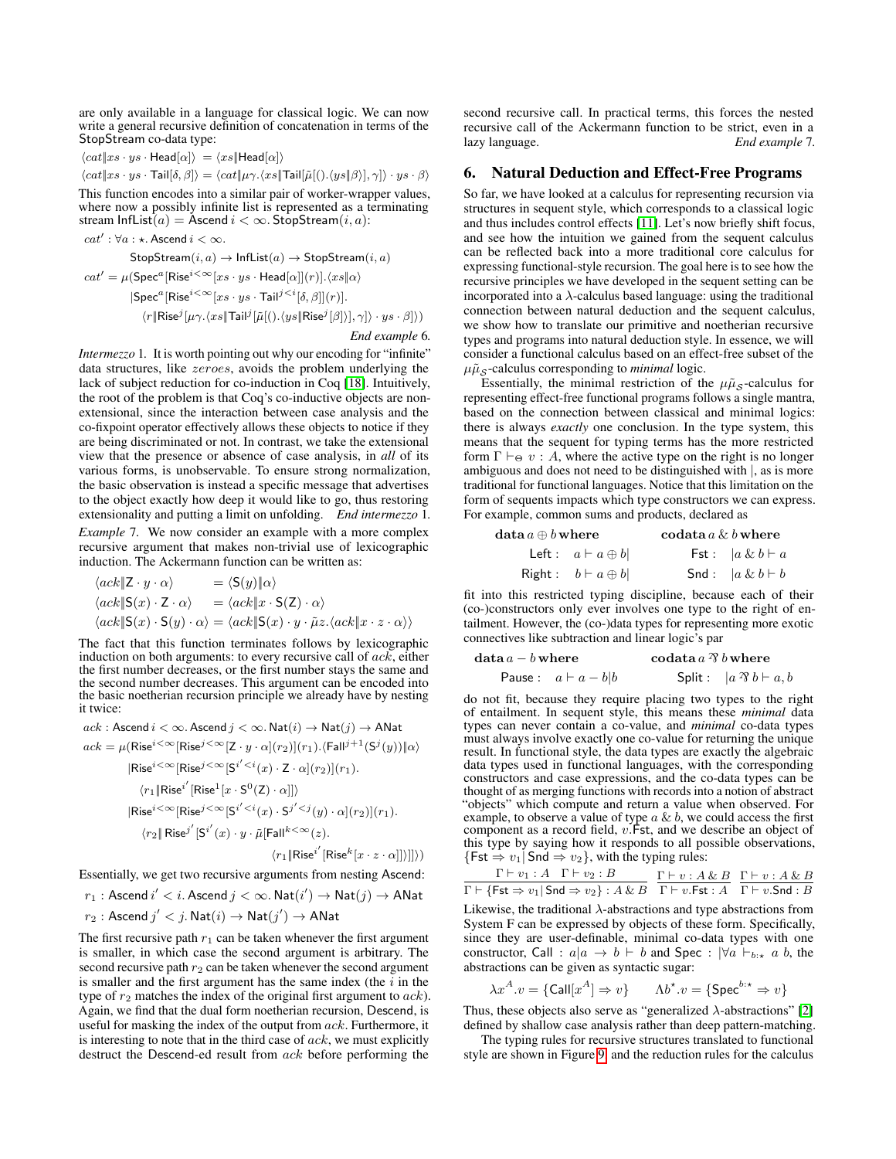are only available in a language for classical logic. We can now write a general recursive definition of concatenation in terms of the StopStream co-data type:

$$
\langle cat \vert xs \cdot ys \cdot Head[\alpha] \rangle = \langle xs \vert \text{Head}[\alpha] \rangle
$$

$$
\langle cat\|xs\cdot ys\cdot \mathsf{Tail}[\delta,\beta]\rangle=\langle cat\|\mu\gamma.\langle xs\|\mathsf{Tail}[\tilde{\mu}[(). \langle ys\|\beta\rangle],\gamma]\rangle\cdot ys\cdot\beta\rangle
$$

This function encodes into a similar pair of worker-wrapper values, where now a possibly infinite list is represented as a terminating stream InfList $(a)$  = Ascend  $i < \infty$ . StopStream $(i, a)$ :

$$
\begin{aligned} cat': \forall a: \star.\textsf{Ascend}\, i < \infty.\\ \textsf{StopStream}(i,a) \rightarrow \textsf{InfList}(a) \rightarrow \textsf{StopStream}(i,a) \\ cat' &= \mu(\textsf{Spec}^a[\textsf{Rise}^{i<\infty}[xs\cdot ys\cdot \textsf{Head}[\alpha]](r)].\langle xs\| \alpha \rangle \\ |\textsf{Spec}^a[\textsf{Rise}^{i<\infty}[xs\cdot ys\cdot \textsf{Tail}^{j
$$

#### *End example* 6*.*

*Intermezzo* 1*.* It is worth pointing out why our encoding for "infinite" data structures, like zeroes, avoids the problem underlying the lack of subject reduction for co-induction in Coq [\[18\]](#page-12-19). Intuitively, the root of the problem is that Coq's co-inductive objects are nonextensional, since the interaction between case analysis and the co-fixpoint operator effectively allows these objects to notice if they are being discriminated or not. In contrast, we take the extensional view that the presence or absence of case analysis, in *all* of its various forms, is unobservable. To ensure strong normalization, the basic observation is instead a specific message that advertises to the object exactly how deep it would like to go, thus restoring extensionality and putting a limit on unfolding. *End intermezzo* 1*. Example* 7*.* We now consider an example with a more complex recursive argument that makes non-trivial use of lexicographic induction. The Ackermann function can be written as:

$$
\langle ack \Vert Z \cdot y \cdot \alpha \rangle = \langle S(y) \Vert \alpha \rangle
$$
  

$$
\langle ack \Vert S(x) \cdot Z \cdot \alpha \rangle = \langle ack \Vert x \cdot S(Z) \cdot \alpha \rangle
$$
  

$$
\langle ack \Vert S(x) \cdot S(y) \cdot \alpha \rangle = \langle ack \Vert S(x) \cdot y \cdot \tilde{\mu}z. \langle ack \Vert x \cdot z \cdot \alpha \rangle \rangle
$$

The fact that this function terminates follows by lexicographic induction on both arguments: to every recursive call of  $ack$ , either the first number decreases, or the first number stays the same and the second number decreases. This argument can be encoded into the basic noetherian recursion principle we already have by nesting it twice:

$$
ack: \text{Ascend } i < \infty. \text{Ascend } j < \infty. \text{Nat}(i) \rightarrow \text{Nat}(j) \rightarrow \text{Anat}
$$
\n
$$
ack = \mu(\text{Rise}^{i < \infty}[\text{Rise}^{j < \infty}[Z \cdot y \cdot \alpha](r_2)](r_1) \cdot \langle \text{Fall}^{j+1}(S^j(y)) \parallel \alpha \rangle
$$
\n
$$
|\text{Rise}^{i < \infty}[\text{Rise}^{j < \infty}[S^{i' < i}(x) \cdot Z \cdot \alpha](r_2)](r_1).
$$
\n
$$
\langle r_1 \parallel \text{Rise}^{i'}[\text{Rise}^{1}[x \cdot S^{0}(Z) \cdot \alpha]] \rangle
$$
\n
$$
|\text{Rise}^{i < \infty}[\text{Rise}^{j < \infty}[S^{i' < i}(x) \cdot S^{j' < j}(y) \cdot \alpha](r_2)](r_1).
$$
\n
$$
\langle r_2 \parallel \text{Rise}^{j'}[S^{i'}(x) \cdot y \cdot \tilde{\mu}[\text{Fall}^{k < \infty}(z).
$$
\n
$$
\langle r_1 \parallel \text{Rise}^{i'}[\text{Rise}^{k}[x \cdot z \cdot \alpha]] \rangle]] \rangle)
$$

Essentially, we get two recursive arguments from nesting Ascend:

 $r_1: \mathsf{Ascend}\,i' < i.$  Ascend  $j < \infty.$   $\mathsf{Nat}(i') \to \mathsf{Nat}(j) \to \mathsf{ANat}$  $r_2: \operatorname{\mathsf{Ascend}} j' < j. \operatorname{\mathsf{Nat}}(i) \rightarrow \operatorname{\mathsf{Nat}}(j') \rightarrow \operatorname{\mathsf{ANat}}$ 

The first recursive path  $r_1$  can be taken whenever the first argument is smaller, in which case the second argument is arbitrary. The second recursive path  $r_2$  can be taken whenever the second argument is smaller and the first argument has the same index (the  $i$  in the type of  $r_2$  matches the index of the original first argument to  $ack$ ). Again, we find that the dual form noetherian recursion, Descend, is useful for masking the index of the output from  $ack$ . Furthermore, it is interesting to note that in the third case of  $ack$ , we must explicitly destruct the Descend-ed result from ack before performing the

second recursive call. In practical terms, this forces the nested recursive call of the Ackermann function to be strict, even in a lazy language. *End example* 7*.*

#### <span id="page-10-0"></span>6. Natural Deduction and Effect-Free Programs

So far, we have looked at a calculus for representing recursion via structures in sequent style, which corresponds to a classical logic and thus includes control effects [\[11\]](#page-12-8). Let's now briefly shift focus, and see how the intuition we gained from the sequent calculus can be reflected back into a more traditional core calculus for expressing functional-style recursion. The goal here is to see how the recursive principles we have developed in the sequent setting can be incorporated into a  $\lambda$ -calculus based language: using the traditional connection between natural deduction and the sequent calculus, we show how to translate our primitive and noetherian recursive types and programs into natural deduction style. In essence, we will consider a functional calculus based on an effect-free subset of the  $\mu\tilde{\mu}_\mathcal{S}$ -calculus corresponding to *minimal* logic.

Essentially, the minimal restriction of the  $\mu\tilde{\mu}_{S}$ -calculus for representing effect-free functional programs follows a single mantra, based on the connection between classical and minimal logics: there is always *exactly* one conclusion. In the type system, this means that the sequent for typing terms has the more restricted form  $\Gamma \vdash_{\Theta} v : A$ , where the active type on the right is no longer ambiguous and does not need to be distinguished with |, as is more traditional for functional languages. Notice that this limitation on the form of sequents impacts which type constructors we can express. For example, common sums and products, declared as

| $\mathtt{data}\,a \oplus b\,\mathtt{where}$ |                               | $\operatorname{codata} a \& b$ where |                                  |
|---------------------------------------------|-------------------------------|--------------------------------------|----------------------------------|
|                                             | Left : $a \vdash a \oplus b$  |                                      | <b>Fst</b> : $ a \& b \vdash a$  |
|                                             | Right : $b \vdash a \oplus b$ |                                      | Snd: $\left  a \& b \right  + b$ |

fit into this restricted typing discipline, because each of their (co-)constructors only ever involves one type to the right of entailment. However, the (co-)data types for representing more exotic connectives like subtraction and linear logic's par

| $\mathtt{data}\,a-b$ where     | codata $a \mathcal{R} b$ where         |
|--------------------------------|----------------------------------------|
| Pause: $a \vdash a - b \mid b$ | Split: $ a \mathcal{B} b \vdash a, b $ |

do not fit, because they require placing two types to the right of entailment. In sequent style, this means these *minimal* data types can never contain a co-value, and *minimal* co-data types must always involve exactly one co-value for returning the unique result. In functional style, the data types are exactly the algebraic data types used in functional languages, with the corresponding constructors and case expressions, and the co-data types can be thought of as merging functions with records into a notion of abstract "objects" which compute and return a value when observed. For example, to observe a value of type  $a \& b$ , we could access the first component as a record field,  $v.\hat{F}$ st, and we describe an object of this type by saying how it responds to all possible observations,  ${Fst \Rightarrow v_1 \mid Snd \Rightarrow v_2},$  with the typing rules:

$$
\frac{\Gamma \vdash v_1 : A \quad \Gamma \vdash v_2 : B}{\Gamma \vdash \{\text{Fst} \Rightarrow v_1 \mid \text{Snd} \Rightarrow v_2\} : A \& B} \quad \frac{\Gamma \vdash v : A \& B}{\Gamma \vdash v.\text{Fst} : A} \quad \frac{\Gamma \vdash v : A \& B}{\Gamma \vdash v.\text{Snd} : B}
$$
\nLilownies the traditional) electromagnetic map of the  
extrises from

Likewise, the traditional  $\lambda$ -abstractions and type abstractions from System F can be expressed by objects of these form. Specifically, since they are user-definable, minimal co-data types with one constructor, Call :  $a|a \rightarrow b \vdash b$  and Spec :  $|\forall a \vdash_{b: \star} a b$ , the abstractions can be given as syntactic sugar:

$$
\lambda x^A \cdot v = \{ \text{Call}[x^A] \Rightarrow v \} \qquad \Lambda b^\star \cdot v = \{ \text{Spec}^{b:\star} \Rightarrow v \}
$$

Thus, these objects also serve as "generalized  $\lambda$ -abstractions" [\[2\]](#page-12-6) defined by shallow case analysis rather than deep pattern-matching.

The typing rules for recursive structures translated to functional style are shown in Figure [9,](#page-11-0) and the reduction rules for the calculus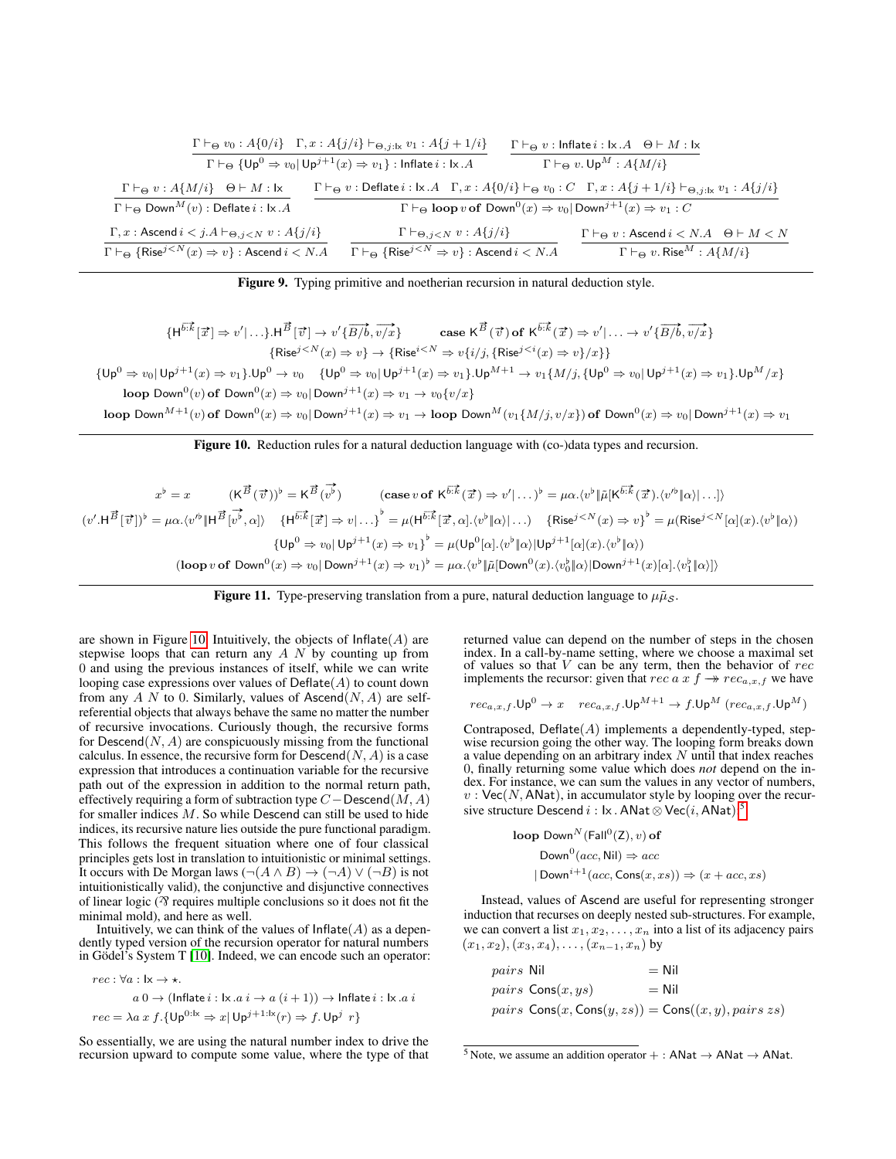|                                                                                                                                                                                                                              | $\Gamma \vdash_{\Theta} v_0 : A\{0/i\}$ $\Gamma, x : A\{j/i\} \vdash_{\Theta, j: \mathsf{lx}} v_1 : A\{j+1/i\}$<br>$\Gamma \vdash_{\Theta} \{ \mathsf{Up}^0 \Rightarrow v_0   \mathsf{Up}^{j+1}(x) \Rightarrow v_1 \}$ : Inflate $i : \mathsf{lx}.A$ | $\Gamma \vdash_{\Theta} v : \mathsf{Inflate}\, i : \mathsf{lx}\, A \quad \Theta \vdash M : \mathsf{lx}$<br>$\Gamma \vdash_{\Theta} v.\mathsf{Up}^M : A\{M/i\}$                                 |  |
|------------------------------------------------------------------------------------------------------------------------------------------------------------------------------------------------------------------------------|------------------------------------------------------------------------------------------------------------------------------------------------------------------------------------------------------------------------------------------------------|------------------------------------------------------------------------------------------------------------------------------------------------------------------------------------------------|--|
| $\Gamma \vdash_{\Theta} v : A\{M/i\} \quad \Theta \vdash M : \mathsf{lx}$                                                                                                                                                    |                                                                                                                                                                                                                                                      | $\Gamma \vdash_{\Theta} v :$ Deflate $i : \mathsf{lx} \cdot A \quad \Gamma, x : A\{0/i\} \vdash_{\Theta} v_0 : C \quad \Gamma, x : A\{j+1/i\} \vdash_{\Theta, j : \mathsf{lx}} v_1 : A\{j/i\}$ |  |
| $\Gamma \vdash_{\Theta} \textsf{Down}^M(v)$ : Deflate $i : \mathsf{I} \times \mathcal{A}$<br>$\Gamma \vdash_{\Theta} \text{loop } v \text{ of } \text{Down}^0(x) \Rightarrow v_0   \text{Down}^{j+1}(x) \Rightarrow v_1 : C$ |                                                                                                                                                                                                                                                      |                                                                                                                                                                                                |  |
| $\Gamma, x :$ Ascend $i < j$ . $A \vdash_{\Theta, i < N} v : A\{j/i\}$<br>$\Gamma \vdash_{\Theta} {\{\mathsf{Rise}^{j\leq N}(x) \Rightarrow v\}}: \mathsf{Ascend}\, i < N.A$                                                 | $\Gamma \vdash_{\Theta, i < N} v : A\{j/i\}$<br>$\Gamma \vdash_{\Theta} {\{\mathsf{Rise}^{j\leq N} \Rightarrow v\}}: \mathsf{Ascend}\, i < N.A$                                                                                                      | $\Gamma \vdash_{\Theta} v :$ Ascend $i < N.A$ $\Theta \vdash M < N$<br>$\Gamma \vdash_{\Theta} v$ . Rise <sup>M</sup> : $A\{M/i\}$                                                             |  |

<span id="page-11-0"></span>Figure 9. Typing primitive and noetherian recursion in natural deduction style.

$$
\{H^{\overrightarrow{b+k}}[\overrightarrow{x}]\Rightarrow v'|\ldots\} \cdot H^{\overrightarrow{B}}[\overrightarrow{v}]\rightarrow v'\{\overrightarrow{B/b},\overrightarrow{v/x}\}\quad\quad\text{case }\mathsf{K}^{\overrightarrow{B}}(\overrightarrow{v})\text{ of }\mathsf{K}^{\overrightarrow{b+k}}(\overrightarrow{x})\Rightarrow v'|\ldots\rightarrow v'\{\overrightarrow{B/b},\overrightarrow{v/x}\}\
$$
\n
$$
\{\text{Rise}^{j\n
$$
\{\text{Up}^{0}\Rightarrow v_{0}|\text{ Up}^{j+1}(x)\Rightarrow v_{1}\}\cdot \text{Up}^{0}\rightarrow v_{0}\quad \{\text{Up}^{0}\Rightarrow v_{0}|\text{ Up}^{j+1}(x)\Rightarrow v_{1}\}\cdot \text{Up}^{M+1}\rightarrow v_{1}\{M/j,\{\text{Up}^{0}\Rightarrow v_{0}|\text{ Up}^{j+1}(x)\Rightarrow v_{1}\}\cdot \text{Up}^{M}/x\}
$$
\n
$$
\text{loop Down}^{0}(v)\text{ of } \text{Down}^{0}(x)\Rightarrow v_{0}|\text{Down}^{j+1}(x)\Rightarrow v_{1}\rightarrow v_{0}\{v/x\}
$$
\n
$$
\text{loop Down}^{M+1}(v)\text{ of } \text{Down}^{0}(x)\Rightarrow v_{0}|\text{Down}^{j+1}(x)\Rightarrow v_{1}\rightarrow \text{loop} \text{Down}^{M}(v_{1}\{M/j,v/x\})\text{ of } \text{Down}^{0}(x)\Rightarrow v_{0}|\text{Down}^{j+1}(x)\Rightarrow v_{1}\rightarrow \text{loop} \text{Down}^{M}(\text{V}^{j+1}(x)\cdot \text{U}^{j+1}(x)\cdot \text{U}^{j+1}(x)\cdot \text{U}^{j+1}(x)\cdot \text{U}^{j+1}(x)\cdot \text{U}^{j+1}(x)\cdot \text{U}^{j+1}(x)\cdot \text{U}^{j+1}(x)\cdot \text{U}^{j+1}(x)\cdot \text{U}^{j+1}(x)\cdot \text{U}^{j+1}(x)\cdot \text{U}^{j+1}(x)\cdot \text{U}^{j+1}(x)\cdot \text{U}^{j+1}(x)\cdot \text{U}^{j+1}(x)\cdot \text{U}^{j+1}(
$$
$$

<span id="page-11-1"></span>Figure 10. Reduction rules for a natural deduction language with (co-)data types and recursion.

$$
x^{\flat} = x \qquad (\mathsf{K}^{\vec{B}}(\vec{v}))^{\flat} = \mathsf{K}^{\vec{B}}(\vec{v}^{\check{b}}) \qquad (\text{case } v \text{ of } \mathsf{K}^{\vec{b}:\vec{k}}(\vec{x}) \Rightarrow v'|\dots)^{\flat} = \mu\alpha.\langle v^{\flat}|\tilde{\mu}[\mathsf{K}^{\vec{b}:\vec{k}}(\vec{x}).\langle v'^{\flat}|\alpha\rangle|\dots]\rangle
$$

$$
(v'.\mathsf{H}^{\vec{B}}[\vec{v}])^{\flat} = \mu\alpha.\langle v'^{\flat}|\mathsf{H}^{\vec{B}}[\vec{v}^{\check{b}},\alpha]\rangle \qquad \{\mathsf{H}^{\vec{b}:\vec{k}}[\vec{x}] \Rightarrow v|\dots\}^{\flat} = \mu(\mathsf{H}^{\vec{b}:\vec{k}}[\vec{x},\alpha].\langle v^{\flat}|\alpha\rangle|\dots) \qquad \{\mathsf{Rise}^{j
$$

<span id="page-11-3"></span>

are shown in Figure [10.](#page-11-1) Intuitively, the objects of  $Inflate(A)$  are stepwise loops that can return any  $A N$  by counting up from 0 and using the previous instances of itself, while we can write looping case expressions over values of  $Deflate(A)$  to count down from any A N to 0. Similarly, values of Ascend $(N, A)$  are selfreferential objects that always behave the same no matter the number of recursive invocations. Curiously though, the recursive forms for  $Descend(N, A)$  are conspicuously missing from the functional calculus. In essence, the recursive form for  $Descend(N, A)$  is a case expression that introduces a continuation variable for the recursive path out of the expression in addition to the normal return path, effectively requiring a form of subtraction type  $C-\mathsf{Descend}(M, A)$ for smaller indices  $M$ . So while Descend can still be used to hide indices, its recursive nature lies outside the pure functional paradigm. This follows the frequent situation where one of four classical principles gets lost in translation to intuitionistic or minimal settings. It occurs with De Morgan laws  $(\neg(A \land B) \rightarrow (\neg A) \lor (\neg B)$  is not intuitionistically valid), the conjunctive and disjunctive connectives of linear logic  $($  $\gamma$  requires multiple conclusions so it does not fit the minimal mold), and here as well.

Intuitively, we can think of the values of  $Inflate(A)$  as a dependently typed version of the recursion operator for natural numbers in Gödel's System T [\[10\]](#page-12-20). Indeed, we can encode such an operator:

$$
rec: \forall a: \mathsf{lx} \to \star.
$$
  
\n
$$
a \mathbf{0} \to (\mathsf{Inflate}\ i : \mathsf{lx}.a \ i \to a \ (i+1)) \to \mathsf{Inflate}\ i : \mathsf{lx}.a \ i
$$
  
\n
$$
rec = \lambda a \ x \ f. \{\mathsf{Up}^{0:\mathsf{lx}} \Rightarrow x \,|\, \mathsf{Up}^{j+1:\mathsf{lx}}(r) \Rightarrow f. \mathsf{Up}^{j} \ r\}
$$

So essentially, we are using the natural number index to drive the recursion upward to compute some value, where the type of that returned value can depend on the number of steps in the chosen index. In a call-by-name setting, where we choose a maximal set of values so that  $V$  can be any term, then the behavior of  $rec$ implements the recursor: given that  $rec \, a \, x \, f \rightarrow r e c_{a,x,f}$  we have

$$
rec_{a,x,f}.\mathsf{Up}^0 \rightarrow x \quad \, rec_{a,x,f}.\mathsf{Up}^{M+1} \rightarrow f.\mathsf{Up}^M\,(rec_{a,x,f}.\mathsf{Up}^M)
$$

Contraposed,  $Deflate(A)$  implements a dependently-typed, stepwise recursion going the other way. The looping form breaks down a value depending on an arbitrary index  $N$  until that index reaches 0, finally returning some value which does *not* depend on the index. For instance, we can sum the values in any vector of numbers,  $v:$  Vec(N, ANat), in accumulator style by looping over the recursive structure  $\mathsf{Descend}\,i:\mathsf{lx}$  .  $\mathsf{ANat}\mathop{\otimes}\mathsf{Vec}(i,\mathsf{ANat})$ :<sup>[5](#page-11-2)</sup>

loop Down<sup>N</sup> (Fall<sup>0</sup>(Z), v) of  
Down<sup>0</sup>(*acc*, Nil) 
$$
\Rightarrow
$$
 *acc*  
| Down<sup>*i*+1</sup>(*acc*, Cons(*x*, *xs*))  $\Rightarrow$  (*x* + *acc*, *xs*)

Instead, values of Ascend are useful for representing stronger induction that recurses on deeply nested sub-structures. For example, we can convert a list  $x_1, x_2, \ldots, x_n$  into a list of its adjacency pairs  $(x_1, x_2), (x_3, x_4), \ldots, (x_{n-1}, x_n)$  by

| <i>pairs</i> Nil |                            | $=$ Nil                                                                           |
|------------------|----------------------------|-----------------------------------------------------------------------------------|
|                  | <i>pairs</i> $Cons(x, ys)$ | $=$ Nil                                                                           |
|                  |                            | <i>pairs</i> $\text{Cons}(x, \text{Cons}(y, zs)) = \text{Cons}((x, y), pairs xs)$ |

<span id="page-11-2"></span><sup>&</sup>lt;sup>5</sup> Note, we assume an addition operator + : ANat  $\rightarrow$  ANat  $\rightarrow$  ANat.